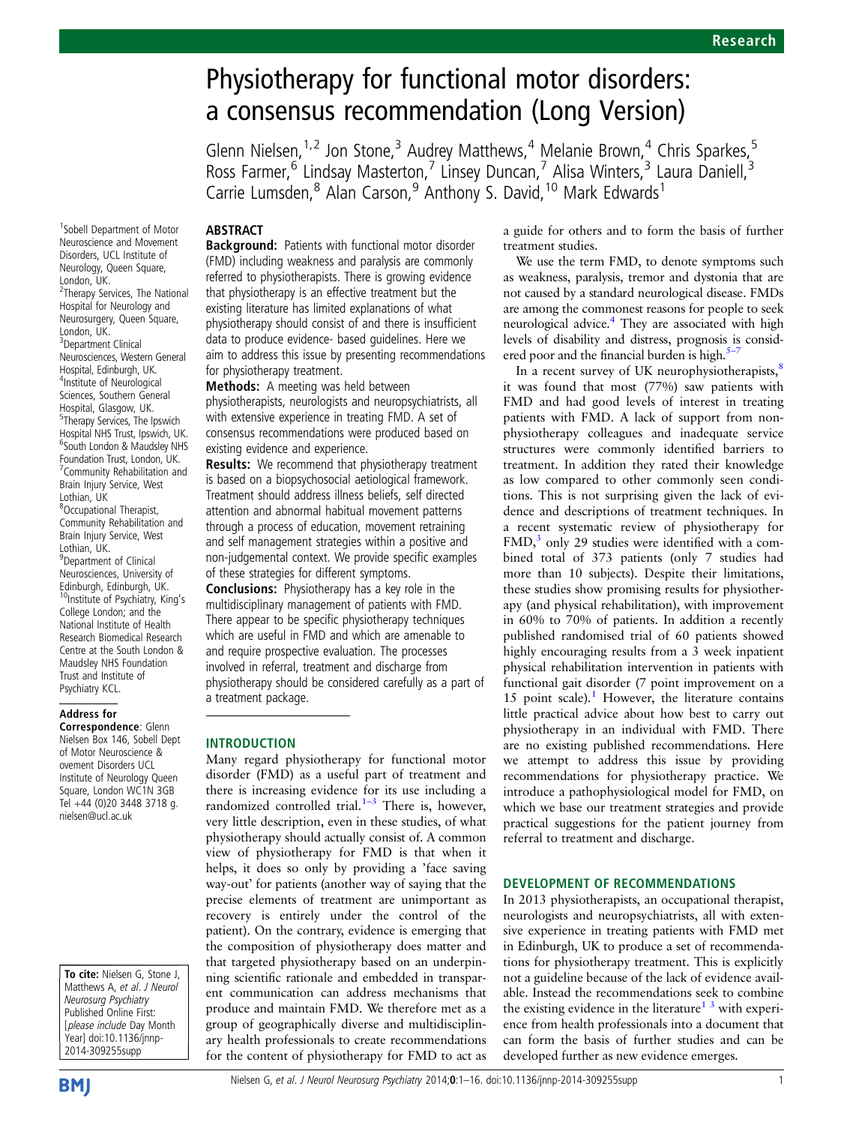# Physiotherapy for functional motor disorders: a consensus recommendation (Long Version)

Glenn Nielsen,<sup>1,2</sup> Jon Stone,<sup>3</sup> Audrey Matthews,<sup>4</sup> Melanie Brown,<sup>4</sup> Chris Sparkes,<sup>5</sup> Ross Farmer,<sup>6</sup> Lindsay Masterton,<sup>7</sup> Linsey Duncan,<sup>7</sup> Alisa Winters,<sup>3</sup> Laura Daniell,<sup>3</sup> Carrie Lumsden,<sup>8</sup> Alan Carson,<sup>9</sup> Anthony S. David,<sup>10</sup> Mark Edwards<sup>1</sup>

### ABSTRACT

Neuroscience and Movement Disorders, UCL Institute of Neurology, Queen Square, London, UK. <sup>2</sup>Therapy Services, The National Hospital for Neurology and Neurosurgery, Queen Square, London, UK. <sup>3</sup>Department Clinical Neurosciences, Western General Hospital, Edinburgh, UK. 4 Institute of Neurological Sciences, Southern General Hospital, Glasgow, UK. <sup>5</sup>Therapy Services, The Ipswich Hospital NHS Trust, Ipswich, UK. 6 South London & Maudsley NHS Foundation Trust, London, UK. 7 Community Rehabilitation and Brain Injury Service, West Lothian, UK 8 Occupational Therapist, Community Rehabilitation and Brain Injury Service, West Lothian, UK. <sup>9</sup>Department of Clinical Neurosciences, University of Edinburgh, Edinburgh, UK.<br><sup>10</sup>Institute of Psychiatry, King's College London; and the National Institute of Health Research Biomedical Research Centre at the South London & Maudsley NHS Foundation Trust and Institute of Psychiatry KCL.

1 Sobell Department of Motor

### Address for

Correspondence: Glenn Nielsen Box 146, Sobell Dept of Motor Neuroscience & ovement Disorders UCL Institute of Neurology Queen Square, London WC1N 3GB Tel +44 (0)20 3448 3718 g. nielsen@ucl.ac.uk

To cite: Nielsen G, Stone J, Matthews A, et al. J Neurol Neurosurg Psychiatry Published Online First: [please include Day Month Year] doi:10.1136/jnnp-2014-309255supp

Background: Patients with functional motor disorder (FMD) including weakness and paralysis are commonly referred to physiotherapists. There is growing evidence that physiotherapy is an effective treatment but the existing literature has limited explanations of what physiotherapy should consist of and there is insufficient data to produce evidence- based guidelines. Here we aim to address this issue by presenting recommendations for physiotherapy treatment.

Methods: A meeting was held between physiotherapists, neurologists and neuropsychiatrists, all with extensive experience in treating FMD. A set of consensus recommendations were produced based on existing evidence and experience.

Results: We recommend that physiotherapy treatment is based on a biopsychosocial aetiological framework. Treatment should address illness beliefs, self directed attention and abnormal habitual movement patterns through a process of education, movement retraining and self management strategies within a positive and non-judgemental context. We provide specific examples of these strategies for different symptoms.

Conclusions: Physiotherapy has a key role in the multidisciplinary management of patients with FMD. There appear to be specific physiotherapy techniques which are useful in FMD and which are amenable to and require prospective evaluation. The processes involved in referral, treatment and discharge from physiotherapy should be considered carefully as a part of a treatment package.

#### INTRODUCTION

Many regard physiotherapy for functional motor disorder (FMD) as a useful part of treatment and there is increasing evidence for its use including a randomized controlled trial. $1-3$  $1-3$  There is, however, very little description, even in these studies, of what physiotherapy should actually consist of. A common view of physiotherapy for FMD is that when it helps, it does so only by providing a 'face saving way-out' for patients (another way of saying that the precise elements of treatment are unimportant as recovery is entirely under the control of the patient). On the contrary, evidence is emerging that the composition of physiotherapy does matter and that targeted physiotherapy based on an underpinning scientific rationale and embedded in transparent communication can address mechanisms that produce and maintain FMD. We therefore met as a group of geographically diverse and multidisciplinary health professionals to create recommendations for the content of physiotherapy for FMD to act as

a guide for others and to form the basis of further treatment studies.

We use the term FMD, to denote symptoms such as weakness, paralysis, tremor and dystonia that are not caused by a standard neurological disease. FMDs are among the commonest reasons for people to seek neurological advice.<sup>[4](#page-14-0)</sup> They are associated with high levels of disability and distress, prognosis is considered poor and the financial burden is high.<sup>5</sup>

In a recent survey of UK neurophysiotherapists,<sup>[8](#page-14-0)</sup> it was found that most (77%) saw patients with FMD and had good levels of interest in treating patients with FMD. A lack of support from nonphysiotherapy colleagues and inadequate service structures were commonly identified barriers to treatment. In addition they rated their knowledge as low compared to other commonly seen conditions. This is not surprising given the lack of evidence and descriptions of treatment techniques. In a recent systematic review of physiotherapy for  $FMD$ ,<sup>[3](#page-14-0)</sup> only 29 studies were identified with a combined total of 373 patients (only 7 studies had more than 10 subjects). Despite their limitations, these studies show promising results for physiotherapy (and physical rehabilitation), with improvement in 60% to 70% of patients. In addition a recently published randomised trial of 60 patients showed highly encouraging results from a 3 week inpatient physical rehabilitation intervention in patients with functional gait disorder (7 point improvement on a [1](#page-14-0)5 point scale). $<sup>1</sup>$  However, the literature contains</sup> little practical advice about how best to carry out physiotherapy in an individual with FMD. There are no existing published recommendations. Here we attempt to address this issue by providing recommendations for physiotherapy practice. We introduce a pathophysiological model for FMD, on which we base our treatment strategies and provide practical suggestions for the patient journey from referral to treatment and discharge.

### DEVELOPMENT OF RECOMMENDATIONS

In 2013 physiotherapists, an occupational therapist, neurologists and neuropsychiatrists, all with extensive experience in treating patients with FMD met in Edinburgh, UK to produce a set of recommendations for physiotherapy treatment. This is explicitly not a guideline because of the lack of evidence available. Instead the recommendations seek to combine the existing evidence in the literature<sup>[1 3](#page-14-0)</sup> with experience from health professionals into a document that can form the basis of further studies and can be developed further as new evidence emerges.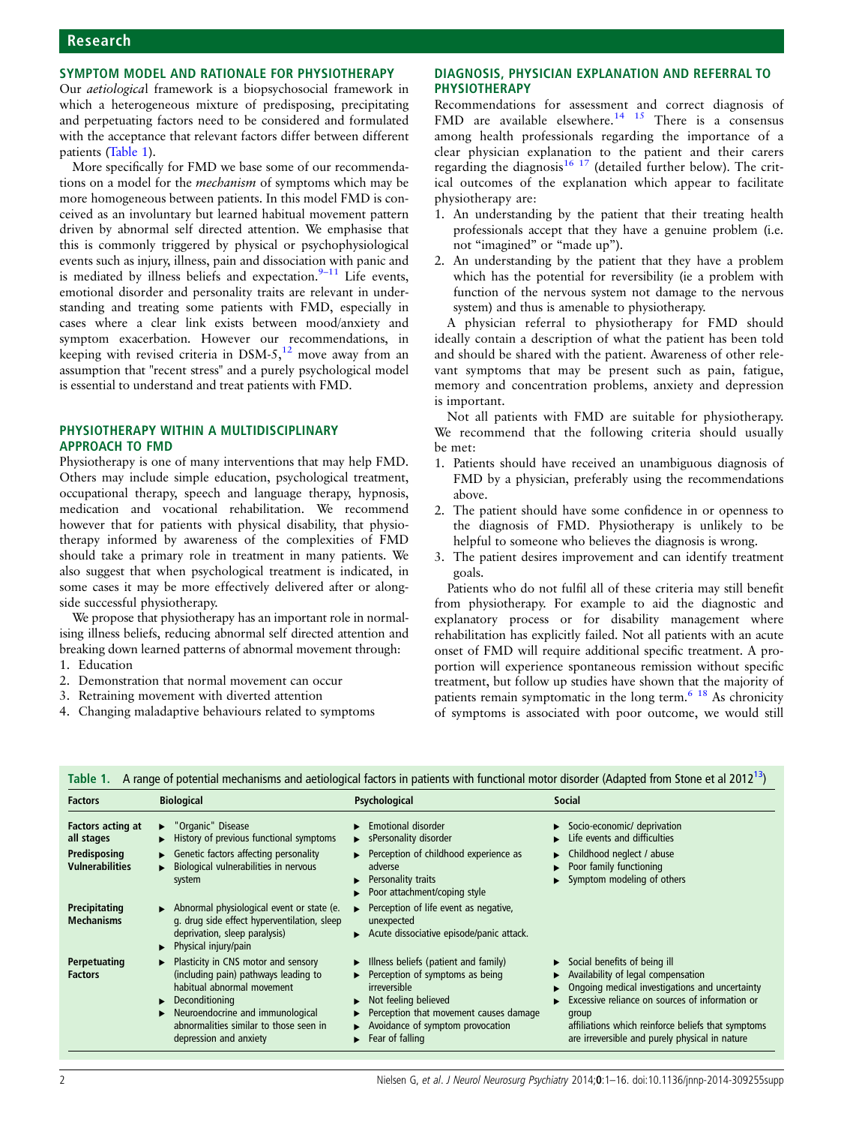# Research

### SYMPTOM MODEL AND RATIONALE FOR PHYSIOTHERAPY

Our aetiological framework is a biopsychosocial framework in which a heterogeneous mixture of predisposing, precipitating and perpetuating factors need to be considered and formulated with the acceptance that relevant factors differ between different patients (Table 1).

More specifically for FMD we base some of our recommendations on a model for the mechanism of symptoms which may be more homogeneous between patients. In this model FMD is conceived as an involuntary but learned habitual movement pattern driven by abnormal self directed attention. We emphasise that this is commonly triggered by physical or psychophysiological events such as injury, illness, pain and dissociation with panic and is mediated by illness beliefs and expectation. $9-11$  $9-11$  Life events, emotional disorder and personality traits are relevant in understanding and treating some patients with FMD, especially in cases where a clear link exists between mood/anxiety and symptom exacerbation. However our recommendations, in keeping with revised criteria in  $DSM-5$ ,<sup>[12](#page-14-0)</sup> move away from an assumption that "recent stress" and a purely psychological model is essential to understand and treat patients with FMD.

### PHYSIOTHERAPY WITHIN A MULTIDISCIPLINARY APPROACH TO FMD

Physiotherapy is one of many interventions that may help FMD. Others may include simple education, psychological treatment, occupational therapy, speech and language therapy, hypnosis, medication and vocational rehabilitation. We recommend however that for patients with physical disability, that physiotherapy informed by awareness of the complexities of FMD should take a primary role in treatment in many patients. We also suggest that when psychological treatment is indicated, in some cases it may be more effectively delivered after or alongside successful physiotherapy.

We propose that physiotherapy has an important role in normalising illness beliefs, reducing abnormal self directed attention and breaking down learned patterns of abnormal movement through:

- 1. Education
- 2. Demonstration that normal movement can occur
- 3. Retraining movement with diverted attention
- 4. Changing maladaptive behaviours related to symptoms

### DIAGNOSIS, PHYSICIAN EXPLANATION AND REFERRAL TO PHYSIOTHERAPY

Recommendations for assessment and correct diagnosis of FMD are available elsewhere.<sup>[14 15](#page-14-0)</sup> There is a consensus among health professionals regarding the importance of a clear physician explanation to the patient and their carers regarding the diagnosis<sup>[16 17](#page-14-0)</sup> (detailed further below). The critical outcomes of the explanation which appear to facilitate physiotherapy are:

- 1. An understanding by the patient that their treating health professionals accept that they have a genuine problem (i.e. not "imagined" or "made up").
- 2. An understanding by the patient that they have a problem which has the potential for reversibility (ie a problem with function of the nervous system not damage to the nervous system) and thus is amenable to physiotherapy.

A physician referral to physiotherapy for FMD should ideally contain a description of what the patient has been told and should be shared with the patient. Awareness of other relevant symptoms that may be present such as pain, fatigue, memory and concentration problems, anxiety and depression is important.

Not all patients with FMD are suitable for physiotherapy. We recommend that the following criteria should usually be met:

- 1. Patients should have received an unambiguous diagnosis of FMD by a physician, preferably using the recommendations above.
- 2. The patient should have some confidence in or openness to the diagnosis of FMD. Physiotherapy is unlikely to be helpful to someone who believes the diagnosis is wrong.
- 3. The patient desires improvement and can identify treatment goals.

Patients who do not fulfil all of these criteria may still benefit from physiotherapy. For example to aid the diagnostic and explanatory process or for disability management where rehabilitation has explicitly failed. Not all patients with an acute onset of FMD will require additional specific treatment. A proportion will experience spontaneous remission without specific treatment, but follow up studies have shown that the majority of patients remain symptomatic in the long term. $618$  As chronicity of symptoms is associated with poor outcome, we would still

| <b>Factors</b>                                                            | <b>Biological</b>                                                                                                                                                                                                                                                               | Psychological                                                                                                                                                                                                                                    | Social                                                                                                                                                                                                                                                                                                    |
|---------------------------------------------------------------------------|---------------------------------------------------------------------------------------------------------------------------------------------------------------------------------------------------------------------------------------------------------------------------------|--------------------------------------------------------------------------------------------------------------------------------------------------------------------------------------------------------------------------------------------------|-----------------------------------------------------------------------------------------------------------------------------------------------------------------------------------------------------------------------------------------------------------------------------------------------------------|
| Factors acting at<br>all stages<br>Predisposing<br><b>Vulnerabilities</b> | $\blacktriangleright$ "Organic" Disease<br>$\blacktriangleright$ History of previous functional symptoms<br>$\blacktriangleright$ Genetic factors affecting personality<br>Biological vulnerabilities in nervous<br>system                                                      | $\blacktriangleright$ Emotional disorder<br>► sPersonality disorder<br>$\blacktriangleright$ Perception of childhood experience as<br>adverse<br>Personality traits<br>ь<br>Poor attachment/coping style                                         | Socio-economic/ deprivation<br>Life events and difficulties<br>Childhood neglect / abuse<br>▶<br>Poor family functioning<br>Symptom modeling of others                                                                                                                                                    |
| Precipitating<br><b>Mechanisms</b>                                        | $\triangleright$ Abnormal physiological event or state (e.<br>g. drug side effect hyperventilation, sleep<br>deprivation, sleep paralysis)<br>$\blacktriangleright$ Physical injury/pain                                                                                        | Perception of life event as negative,<br>▶<br>unexpected<br>Acute dissociative episode/panic attack.                                                                                                                                             |                                                                                                                                                                                                                                                                                                           |
| Perpetuating<br><b>Factors</b>                                            | $\blacktriangleright$ Plasticity in CNS motor and sensory<br>(including pain) pathways leading to<br>habitual abnormal movement<br>$\blacktriangleright$ Deconditioning<br>Neuroendocrine and immunological<br>abnormalities similar to those seen in<br>depression and anxiety | $\blacktriangleright$ Illness beliefs (patient and family)<br>Perception of symptoms as being<br>ь<br>irreversible<br>Not feeling believed<br>►<br>Perception that movement causes damage<br>Avoidance of symptom provocation<br>Fear of falling | $\triangleright$ Social benefits of being ill<br>Availability of legal compensation<br>Ongoing medical investigations and uncertainty<br>Excessive reliance on sources of information or<br>group<br>affiliations which reinforce beliefs that symptoms<br>are irreversible and purely physical in nature |

Table 1. A range of potential mechanisms and aetiological factors in patients with functional motor disorder (Adapted from Stone et al 2012<sup>13</sup>)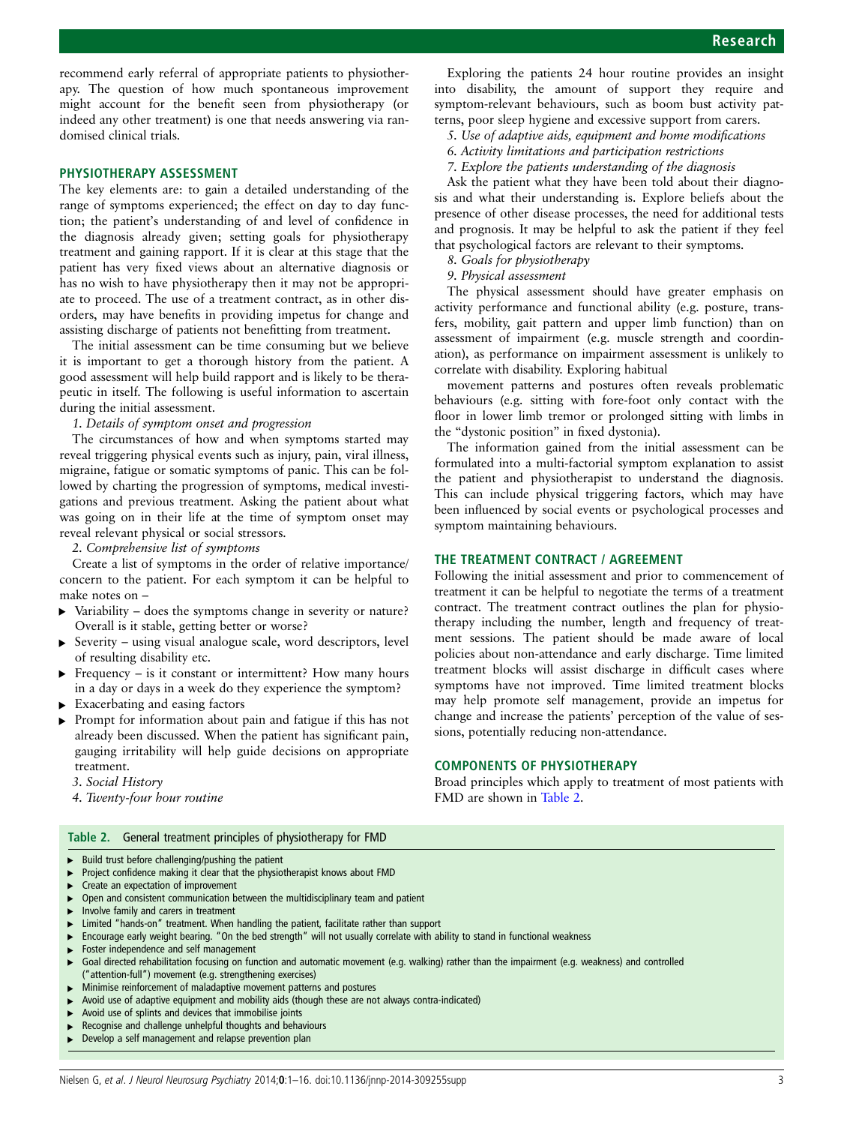recommend early referral of appropriate patients to physiotherapy. The question of how much spontaneous improvement might account for the benefit seen from physiotherapy (or indeed any other treatment) is one that needs answering via randomised clinical trials.

### PHYSIOTHERAPY ASSESSMENT

The key elements are: to gain a detailed understanding of the range of symptoms experienced; the effect on day to day function; the patient's understanding of and level of confidence in the diagnosis already given; setting goals for physiotherapy treatment and gaining rapport. If it is clear at this stage that the patient has very fixed views about an alternative diagnosis or has no wish to have physiotherapy then it may not be appropriate to proceed. The use of a treatment contract, as in other disorders, may have benefits in providing impetus for change and assisting discharge of patients not benefitting from treatment.

The initial assessment can be time consuming but we believe it is important to get a thorough history from the patient. A good assessment will help build rapport and is likely to be therapeutic in itself. The following is useful information to ascertain during the initial assessment.

### 1. Details of symptom onset and progression

The circumstances of how and when symptoms started may reveal triggering physical events such as injury, pain, viral illness, migraine, fatigue or somatic symptoms of panic. This can be followed by charting the progression of symptoms, medical investigations and previous treatment. Asking the patient about what was going on in their life at the time of symptom onset may reveal relevant physical or social stressors.

2. Comprehensive list of symptoms

Create a list of symptoms in the order of relative importance/ concern to the patient. For each symptom it can be helpful to make notes on –

- $\triangleright$  Variability does the symptoms change in severity or nature? Overall is it stable, getting better or worse?
- ▸ Severity using visual analogue scale, word descriptors, level of resulting disability etc.
- $\triangleright$  Frequency is it constant or intermittent? How many hours in a day or days in a week do they experience the symptom?
- ▸ Exacerbating and easing factors
- ▸ Prompt for information about pain and fatigue if this has not already been discussed. When the patient has significant pain, gauging irritability will help guide decisions on appropriate treatment.

3. Social History

4. Twenty-four hour routine

#### Table 2. General treatment principles of physiotherapy for FMD

- ▸ Build trust before challenging/pushing the patient
- Project confidence making it clear that the physiotherapist knows about FMD
- Create an expectation of improvement
- ▸ Open and consistent communication between the multidisciplinary team and patient
- ▸ Involve family and carers in treatment
- Limited "hands-on" treatment. When handling the patient, facilitate rather than support
- ▸ Encourage early weight bearing. "On the bed strength" will not usually correlate with ability to stand in functional weakness
- Foster independence and self management
- Goal directed rehabilitation focusing on function and automatic movement (e.g. walking) rather than the impairment (e.g. weakness) and controlled ("attention-full") movement (e.g. strengthening exercises)
- Minimise reinforcement of maladaptive movement patterns and postures
- ▸ Avoid use of adaptive equipment and mobility aids (though these are not always contra-indicated)
- Avoid use of splints and devices that immobilise joints
- Recognise and challenge unhelpful thoughts and behaviours
- Develop a self management and relapse prevention plan
- Exploring the patients 24 hour routine provides an insight into disability, the amount of support they require and symptom-relevant behaviours, such as boom bust activity patterns, poor sleep hygiene and excessive support from carers.
	- 5. Use of adaptive aids, equipment and home modifications
	- 6. Activity limitations and participation restrictions
	- 7. Explore the patients understanding of the diagnosis

Ask the patient what they have been told about their diagnosis and what their understanding is. Explore beliefs about the presence of other disease processes, the need for additional tests and prognosis. It may be helpful to ask the patient if they feel that psychological factors are relevant to their symptoms.

8. Goals for physiotherapy

9. Physical assessment

The physical assessment should have greater emphasis on activity performance and functional ability (e.g. posture, transfers, mobility, gait pattern and upper limb function) than on assessment of impairment (e.g. muscle strength and coordination), as performance on impairment assessment is unlikely to correlate with disability. Exploring habitual

movement patterns and postures often reveals problematic behaviours (e.g. sitting with fore-foot only contact with the floor in lower limb tremor or prolonged sitting with limbs in the "dystonic position" in fixed dystonia).

The information gained from the initial assessment can be formulated into a multi-factorial symptom explanation to assist the patient and physiotherapist to understand the diagnosis. This can include physical triggering factors, which may have been influenced by social events or psychological processes and symptom maintaining behaviours.

### THE TREATMENT CONTRACT / AGREEMENT

Following the initial assessment and prior to commencement of treatment it can be helpful to negotiate the terms of a treatment contract. The treatment contract outlines the plan for physiotherapy including the number, length and frequency of treatment sessions. The patient should be made aware of local policies about non-attendance and early discharge. Time limited treatment blocks will assist discharge in difficult cases where symptoms have not improved. Time limited treatment blocks may help promote self management, provide an impetus for change and increase the patients' perception of the value of sessions, potentially reducing non-attendance.

### COMPONENTS OF PHYSIOTHERAPY

Broad principles which apply to treatment of most patients with FMD are shown in Table 2.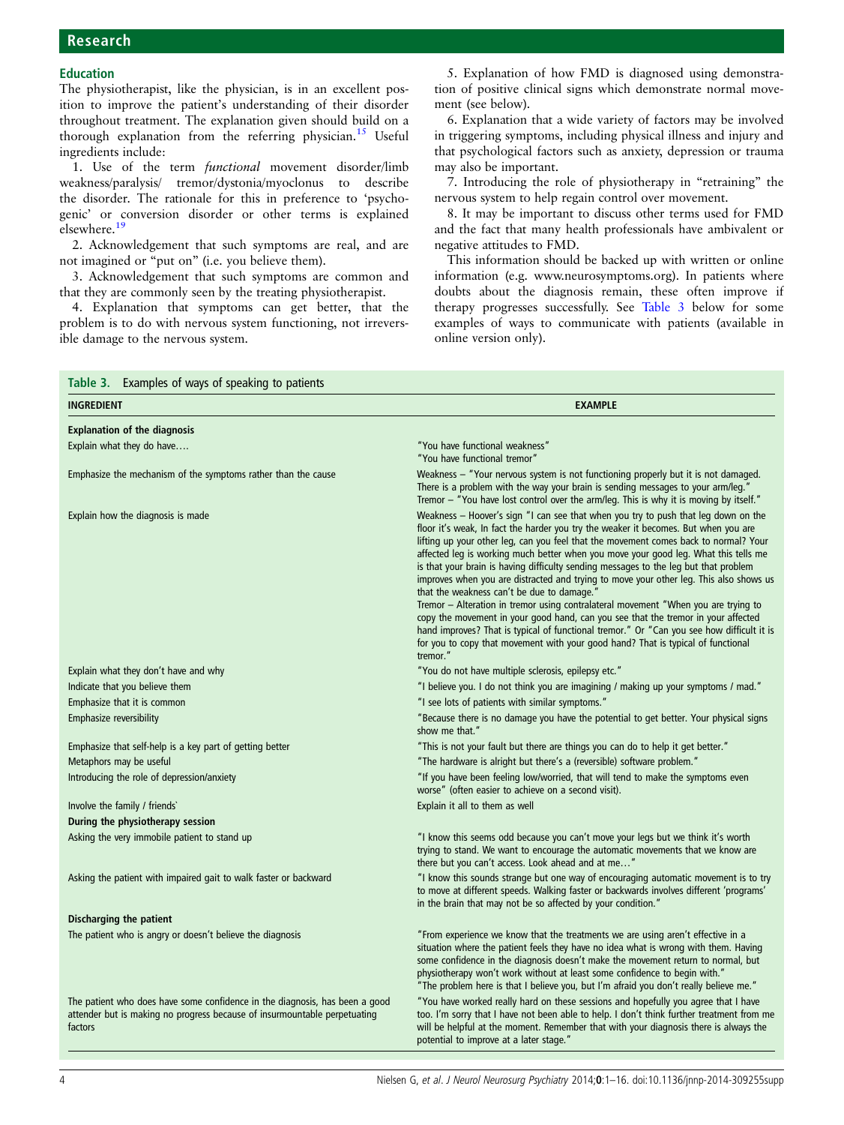# <span id="page-3-0"></span>Research

### Education

The physiotherapist, like the physician, is in an excellent position to improve the patient's understanding of their disorder throughout treatment. The explanation given should build on a thorough explanation from the referring physician.<sup>[15](#page-14-0)</sup> Useful ingredients include:

1. Use of the term functional movement disorder/limb weakness/paralysis/ tremor/dystonia/myoclonus to describe the disorder. The rationale for this in preference to 'psychogenic' or conversion disorder or other terms is explained elsewhere[.19](#page-14-0)

2. Acknowledgement that such symptoms are real, and are not imagined or "put on" (i.e. you believe them).

3. Acknowledgement that such symptoms are common and that they are commonly seen by the treating physiotherapist.

4. Explanation that symptoms can get better, that the problem is to do with nervous system functioning, not irreversible damage to the nervous system.

5. Explanation of how FMD is diagnosed using demonstration of positive clinical signs which demonstrate normal movement (see below).

6. Explanation that a wide variety of factors may be involved in triggering symptoms, including physical illness and injury and that psychological factors such as anxiety, depression or trauma may also be important.

7. Introducing the role of physiotherapy in "retraining" the nervous system to help regain control over movement.

8. It may be important to discuss other terms used for FMD and the fact that many health professionals have ambivalent or negative attitudes to FMD.

This information should be backed up with written or online information (e.g. [www.neurosymptoms.org](http://www.neurosymptoms.org)). In patients where doubts about the diagnosis remain, these often improve if therapy progresses successfully. See Table 3 below for some examples of ways to communicate with patients (available in online version only).

| Table 3. Examples of ways of speaking to patients                                                                                                                   |                                                                                                                                                                                                                                                                                                                                                                                                                                                                                                                                                                                          |  |  |
|---------------------------------------------------------------------------------------------------------------------------------------------------------------------|------------------------------------------------------------------------------------------------------------------------------------------------------------------------------------------------------------------------------------------------------------------------------------------------------------------------------------------------------------------------------------------------------------------------------------------------------------------------------------------------------------------------------------------------------------------------------------------|--|--|
| <b>INGREDIENT</b>                                                                                                                                                   | <b>EXAMPLE</b>                                                                                                                                                                                                                                                                                                                                                                                                                                                                                                                                                                           |  |  |
| <b>Explanation of the diagnosis</b>                                                                                                                                 |                                                                                                                                                                                                                                                                                                                                                                                                                                                                                                                                                                                          |  |  |
| Explain what they do have                                                                                                                                           | "You have functional weakness"<br>"You have functional tremor"                                                                                                                                                                                                                                                                                                                                                                                                                                                                                                                           |  |  |
| Emphasize the mechanism of the symptoms rather than the cause                                                                                                       | Weakness - "Your nervous system is not functioning properly but it is not damaged.<br>There is a problem with the way your brain is sending messages to your arm/leg."<br>Tremor - "You have lost control over the arm/leg. This is why it is moving by itself."                                                                                                                                                                                                                                                                                                                         |  |  |
| Explain how the diagnosis is made                                                                                                                                   | Weakness - Hoover's sign "I can see that when you try to push that leg down on the<br>floor it's weak, In fact the harder you try the weaker it becomes. But when you are<br>lifting up your other leg, can you feel that the movement comes back to normal? Your<br>affected leg is working much better when you move your good leg. What this tells me<br>is that your brain is having difficulty sending messages to the leg but that problem<br>improves when you are distracted and trying to move your other leg. This also shows us<br>that the weakness can't be due to damage." |  |  |
|                                                                                                                                                                     | Tremor - Alteration in tremor using contralateral movement "When you are trying to<br>copy the movement in your good hand, can you see that the tremor in your affected<br>hand improves? That is typical of functional tremor." Or "Can you see how difficult it is<br>for you to copy that movement with your good hand? That is typical of functional<br>tremor."                                                                                                                                                                                                                     |  |  |
| Explain what they don't have and why                                                                                                                                | "You do not have multiple sclerosis, epilepsy etc."                                                                                                                                                                                                                                                                                                                                                                                                                                                                                                                                      |  |  |
| Indicate that you believe them                                                                                                                                      | "I believe you. I do not think you are imagining / making up your symptoms / mad."                                                                                                                                                                                                                                                                                                                                                                                                                                                                                                       |  |  |
| Emphasize that it is common                                                                                                                                         | "I see lots of patients with similar symptoms."                                                                                                                                                                                                                                                                                                                                                                                                                                                                                                                                          |  |  |
| Emphasize reversibility                                                                                                                                             | "Because there is no damage you have the potential to get better. Your physical signs<br>show me that."                                                                                                                                                                                                                                                                                                                                                                                                                                                                                  |  |  |
| Emphasize that self-help is a key part of getting better                                                                                                            | "This is not your fault but there are things you can do to help it get better."                                                                                                                                                                                                                                                                                                                                                                                                                                                                                                          |  |  |
| Metaphors may be useful                                                                                                                                             | "The hardware is alright but there's a (reversible) software problem."                                                                                                                                                                                                                                                                                                                                                                                                                                                                                                                   |  |  |
| Introducing the role of depression/anxiety                                                                                                                          | "If you have been feeling low/worried, that will tend to make the symptoms even<br>worse" (often easier to achieve on a second visit).                                                                                                                                                                                                                                                                                                                                                                                                                                                   |  |  |
| Involve the family / friends`                                                                                                                                       | Explain it all to them as well                                                                                                                                                                                                                                                                                                                                                                                                                                                                                                                                                           |  |  |
| During the physiotherapy session                                                                                                                                    |                                                                                                                                                                                                                                                                                                                                                                                                                                                                                                                                                                                          |  |  |
| Asking the very immobile patient to stand up                                                                                                                        | "I know this seems odd because you can't move your legs but we think it's worth<br>trying to stand. We want to encourage the automatic movements that we know are<br>there but you can't access. Look ahead and at me"                                                                                                                                                                                                                                                                                                                                                                   |  |  |
| Asking the patient with impaired gait to walk faster or backward                                                                                                    | "I know this sounds strange but one way of encouraging automatic movement is to try<br>to move at different speeds. Walking faster or backwards involves different 'programs'<br>in the brain that may not be so affected by your condition."                                                                                                                                                                                                                                                                                                                                            |  |  |
| Discharging the patient                                                                                                                                             |                                                                                                                                                                                                                                                                                                                                                                                                                                                                                                                                                                                          |  |  |
| The patient who is angry or doesn't believe the diagnosis                                                                                                           | "From experience we know that the treatments we are using aren't effective in a<br>situation where the patient feels they have no idea what is wrong with them. Having<br>some confidence in the diagnosis doesn't make the movement return to normal, but<br>physiotherapy won't work without at least some confidence to begin with."<br>"The problem here is that I believe you, but I'm afraid you don't really believe me."                                                                                                                                                         |  |  |
| The patient who does have some confidence in the diagnosis, has been a good<br>attender but is making no progress because of insurmountable perpetuating<br>factors | "You have worked really hard on these sessions and hopefully you agree that I have<br>too. I'm sorry that I have not been able to help. I don't think further treatment from me<br>will be helpful at the moment. Remember that with your diagnosis there is always the<br>potential to improve at a later stage."                                                                                                                                                                                                                                                                       |  |  |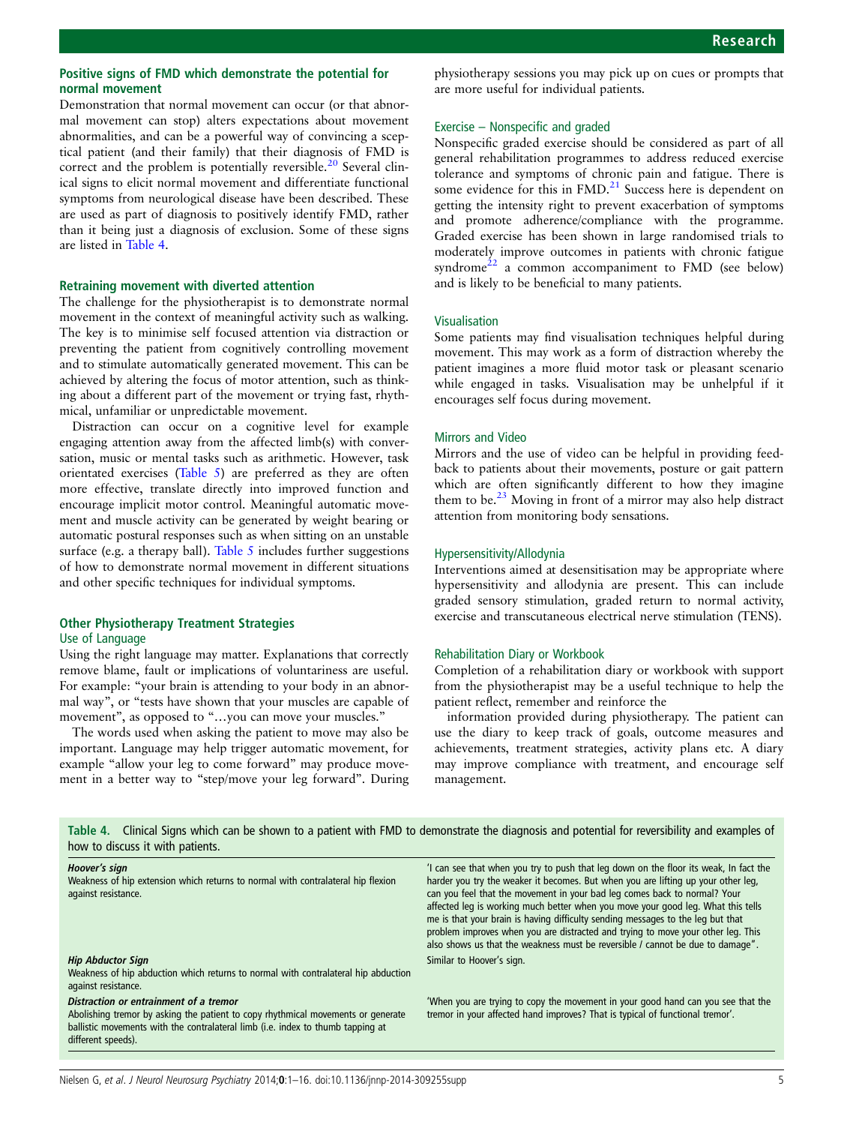### Positive signs of FMD which demonstrate the potential for normal movement

Demonstration that normal movement can occur (or that abnormal movement can stop) alters expectations about movement abnormalities, and can be a powerful way of convincing a sceptical patient (and their family) that their diagnosis of FMD is correct and the problem is potentially reversible.<sup>[20](#page-14-0)</sup> Several clinical signs to elicit normal movement and differentiate functional symptoms from neurological disease have been described. These are used as part of diagnosis to positively identify FMD, rather than it being just a diagnosis of exclusion. Some of these signs are listed in Table 4.

#### Retraining movement with diverted attention

The challenge for the physiotherapist is to demonstrate normal movement in the context of meaningful activity such as walking. The key is to minimise self focused attention via distraction or preventing the patient from cognitively controlling movement and to stimulate automatically generated movement. This can be achieved by altering the focus of motor attention, such as thinking about a different part of the movement or trying fast, rhythmical, unfamiliar or unpredictable movement.

Distraction can occur on a cognitive level for example engaging attention away from the affected limb(s) with conversation, music or mental tasks such as arithmetic. However, task orientated exercises [\(Table 5\)](#page-5-0) are preferred as they are often more effective, translate directly into improved function and encourage implicit motor control. Meaningful automatic movement and muscle activity can be generated by weight bearing or automatic postural responses such as when sitting on an unstable surface (e.g. a therapy ball). Table  $5$  includes further suggestions of how to demonstrate normal movement in different situations and other specific techniques for individual symptoms.

### Other Physiotherapy Treatment Strategies

#### Use of Language

Using the right language may matter. Explanations that correctly remove blame, fault or implications of voluntariness are useful. For example: "your brain is attending to your body in an abnormal way", or "tests have shown that your muscles are capable of movement", as opposed to "...you can move your muscles."

The words used when asking the patient to move may also be important. Language may help trigger automatic movement, for example "allow your leg to come forward" may produce movement in a better way to "step/move your leg forward". During

physiotherapy sessions you may pick up on cues or prompts that are more useful for individual patients.

#### Exercise – Nonspecific and graded

Nonspecific graded exercise should be considered as part of all general rehabilitation programmes to address reduced exercise tolerance and symptoms of chronic pain and fatigue. There is some evidence for this in FMD.<sup>21</sup> Success here is dependent on getting the intensity right to prevent exacerbation of symptoms and promote adherence/compliance with the programme. Graded exercise has been shown in large randomised trials to moderately improve outcomes in patients with chronic fatigue syndrome $22$  a common accompaniment to FMD (see below) and is likely to be beneficial to many patients.

#### Visualisation

Some patients may find visualisation techniques helpful during movement. This may work as a form of distraction whereby the patient imagines a more fluid motor task or pleasant scenario while engaged in tasks. Visualisation may be unhelpful if it encourages self focus during movement.

### Mirrors and Video

Mirrors and the use of video can be helpful in providing feedback to patients about their movements, posture or gait pattern which are often significantly different to how they imagine them to be. $^{23}$  $^{23}$  $^{23}$  Moving in front of a mirror may also help distract attention from monitoring body sensations.

#### Hypersensitivity/Allodynia

Interventions aimed at desensitisation may be appropriate where hypersensitivity and allodynia are present. This can include graded sensory stimulation, graded return to normal activity, exercise and transcutaneous electrical nerve stimulation (TENS).

### Rehabilitation Diary or Workbook

Completion of a rehabilitation diary or workbook with support from the physiotherapist may be a useful technique to help the patient reflect, remember and reinforce the

information provided during physiotherapy. The patient can use the diary to keep track of goals, outcome measures and achievements, treatment strategies, activity plans etc. A diary may improve compliance with treatment, and encourage self management.

| Table 4. Clinical Signs which can be shown to a patient with FMD to demonstrate the diagnosis and potential for reversibility and examples of<br>how to discuss it with patients.                                                   |                                                                                                                                                                                                                                                                                                                                                                                                                                                                                                                                                                                                      |  |  |
|-------------------------------------------------------------------------------------------------------------------------------------------------------------------------------------------------------------------------------------|------------------------------------------------------------------------------------------------------------------------------------------------------------------------------------------------------------------------------------------------------------------------------------------------------------------------------------------------------------------------------------------------------------------------------------------------------------------------------------------------------------------------------------------------------------------------------------------------------|--|--|
| Hoover's sign<br>Weakness of hip extension which returns to normal with contralateral hip flexion<br>against resistance.                                                                                                            | 'I can see that when you try to push that leg down on the floor its weak, In fact the<br>harder you try the weaker it becomes. But when you are lifting up your other leg.<br>can you feel that the movement in your bad leg comes back to normal? Your<br>affected leg is working much better when you move your good leg. What this tells<br>me is that your brain is having difficulty sending messages to the leg but that<br>problem improves when you are distracted and trying to move your other leg. This<br>also shows us that the weakness must be reversible / cannot be due to damage". |  |  |
| <b>Hip Abductor Sign</b><br>Weakness of hip abduction which returns to normal with contralateral hip abduction<br>against resistance.                                                                                               | Similar to Hoover's sign.                                                                                                                                                                                                                                                                                                                                                                                                                                                                                                                                                                            |  |  |
| Distraction or entrainment of a tremor<br>Abolishing tremor by asking the patient to copy rhythmical movements or generate<br>ballistic movements with the contralateral limb (i.e. index to thumb tapping at<br>different speeds). | 'When you are trying to copy the movement in your good hand can you see that the<br>tremor in your affected hand improves? That is typical of functional tremor'.                                                                                                                                                                                                                                                                                                                                                                                                                                    |  |  |

Nielsen G, et al. J Neurol Neurosurg Psychiatry 2014;0:1-16. doi:10.1136/jnnp-2014-309255supp 5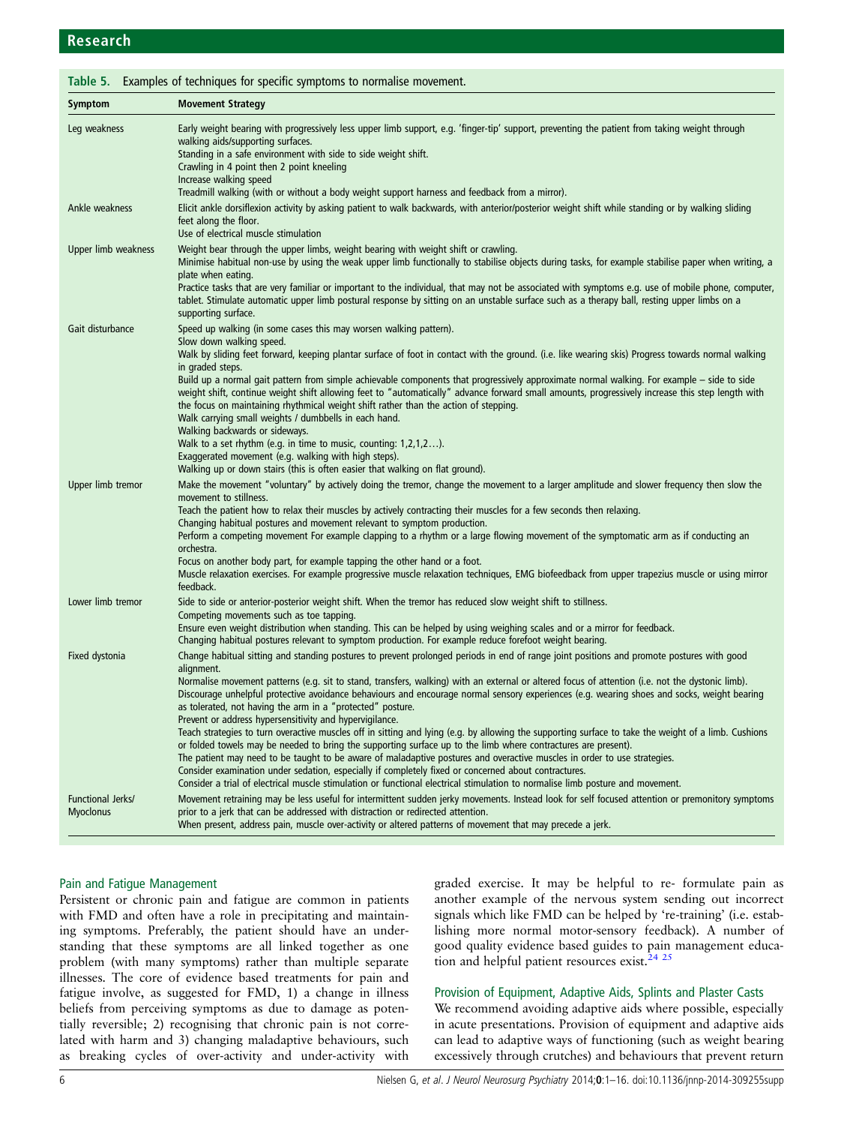<span id="page-5-0"></span>

| Symptom                               | <b>Movement Strategy</b>                                                                                                                                                                                                                                                                                                                                                                                                                                                                                                                                                                                                                                                                                                                                                                                                                                                                                                                                                                                                                                                                                                                                                                                                            |
|---------------------------------------|-------------------------------------------------------------------------------------------------------------------------------------------------------------------------------------------------------------------------------------------------------------------------------------------------------------------------------------------------------------------------------------------------------------------------------------------------------------------------------------------------------------------------------------------------------------------------------------------------------------------------------------------------------------------------------------------------------------------------------------------------------------------------------------------------------------------------------------------------------------------------------------------------------------------------------------------------------------------------------------------------------------------------------------------------------------------------------------------------------------------------------------------------------------------------------------------------------------------------------------|
| Leg weakness                          | Early weight bearing with progressively less upper limb support, e.g. 'finger-tip' support, preventing the patient from taking weight through<br>walking aids/supporting surfaces.<br>Standing in a safe environment with side to side weight shift.<br>Crawling in 4 point then 2 point kneeling<br>Increase walking speed<br>Treadmill walking (with or without a body weight support harness and feedback from a mirror).                                                                                                                                                                                                                                                                                                                                                                                                                                                                                                                                                                                                                                                                                                                                                                                                        |
| Ankle weakness                        | Elicit ankle dorsiflexion activity by asking patient to walk backwards, with anterior/posterior weight shift while standing or by walking sliding<br>feet along the floor.<br>Use of electrical muscle stimulation                                                                                                                                                                                                                                                                                                                                                                                                                                                                                                                                                                                                                                                                                                                                                                                                                                                                                                                                                                                                                  |
| Upper limb weakness                   | Weight bear through the upper limbs, weight bearing with weight shift or crawling.<br>Minimise habitual non-use by using the weak upper limb functionally to stabilise objects during tasks, for example stabilise paper when writing, a<br>plate when eating.<br>Practice tasks that are very familiar or important to the individual, that may not be associated with symptoms e.g. use of mobile phone, computer,<br>tablet. Stimulate automatic upper limb postural response by sitting on an unstable surface such as a therapy ball, resting upper limbs on a<br>supporting surface.                                                                                                                                                                                                                                                                                                                                                                                                                                                                                                                                                                                                                                          |
| Gait disturbance                      | Speed up walking (in some cases this may worsen walking pattern).<br>Slow down walking speed.<br>Walk by sliding feet forward, keeping plantar surface of foot in contact with the ground. (i.e. like wearing skis) Progress towards normal walking<br>in graded steps.<br>Build up a normal gait pattern from simple achievable components that progressively approximate normal walking. For example - side to side<br>weight shift, continue weight shift allowing feet to "automatically" advance forward small amounts, progressively increase this step length with<br>the focus on maintaining rhythmical weight shift rather than the action of stepping.<br>Walk carrying small weights / dumbbells in each hand.<br>Walking backwards or sideways.<br>Walk to a set rhythm (e.g. in time to music, counting: 1,2,1,2).<br>Exaggerated movement (e.g. walking with high steps).<br>Walking up or down stairs (this is often easier that walking on flat ground).                                                                                                                                                                                                                                                           |
| Upper limb tremor                     | Make the movement "voluntary" by actively doing the tremor, change the movement to a larger amplitude and slower frequency then slow the<br>movement to stillness.<br>Teach the patient how to relax their muscles by actively contracting their muscles for a few seconds then relaxing.<br>Changing habitual postures and movement relevant to symptom production.<br>Perform a competing movement For example clapping to a rhythm or a large flowing movement of the symptomatic arm as if conducting an<br>orchestra.<br>Focus on another body part, for example tapping the other hand or a foot.<br>Muscle relaxation exercises. For example progressive muscle relaxation techniques, EMG biofeedback from upper trapezius muscle or using mirror<br>feedback.                                                                                                                                                                                                                                                                                                                                                                                                                                                              |
| Lower limb tremor                     | Side to side or anterior-posterior weight shift. When the tremor has reduced slow weight shift to stillness.<br>Competing movements such as toe tapping.<br>Ensure even weight distribution when standing. This can be helped by using weighing scales and or a mirror for feedback.<br>Changing habitual postures relevant to symptom production. For example reduce forefoot weight bearing.                                                                                                                                                                                                                                                                                                                                                                                                                                                                                                                                                                                                                                                                                                                                                                                                                                      |
| Fixed dystonia                        | Change habitual sitting and standing postures to prevent prolonged periods in end of range joint positions and promote postures with good<br>alignment.<br>Normalise movement patterns (e.g. sit to stand, transfers, walking) with an external or altered focus of attention (i.e. not the dystonic limb).<br>Discourage unhelpful protective avoidance behaviours and encourage normal sensory experiences (e.g. wearing shoes and socks, weight bearing<br>as tolerated, not having the arm in a "protected" posture.<br>Prevent or address hypersensitivity and hypervigilance.<br>Teach strategies to turn overactive muscles off in sitting and lying (e.g. by allowing the supporting surface to take the weight of a limb. Cushions<br>or folded towels may be needed to bring the supporting surface up to the limb where contractures are present).<br>The patient may need to be taught to be aware of maladaptive postures and overactive muscles in order to use strategies.<br>Consider examination under sedation, especially if completely fixed or concerned about contractures.<br>Consider a trial of electrical muscle stimulation or functional electrical stimulation to normalise limb posture and movement. |
| Functional Jerks/<br><b>Myoclonus</b> | Movement retraining may be less useful for intermittent sudden jerky movements. Instead look for self focused attention or premonitory symptoms<br>prior to a jerk that can be addressed with distraction or redirected attention.<br>When present, address pain, muscle over-activity or altered patterns of movement that may precede a jerk.                                                                                                                                                                                                                                                                                                                                                                                                                                                                                                                                                                                                                                                                                                                                                                                                                                                                                     |

### Pain and Fatigue Management

Persistent or chronic pain and fatigue are common in patients with FMD and often have a role in precipitating and maintaining symptoms. Preferably, the patient should have an understanding that these symptoms are all linked together as one problem (with many symptoms) rather than multiple separate illnesses. The core of evidence based treatments for pain and fatigue involve, as suggested for FMD, 1) a change in illness beliefs from perceiving symptoms as due to damage as potentially reversible; 2) recognising that chronic pain is not correlated with harm and 3) changing maladaptive behaviours, such as breaking cycles of over-activity and under-activity with

graded exercise. It may be helpful to re- formulate pain as another example of the nervous system sending out incorrect signals which like FMD can be helped by 're-training' (i.e. establishing more normal motor-sensory feedback). A number of good quality evidence based guides to pain management educa-tion and helpful patient resources exist.<sup>[24](#page-14-0) [25](#page-15-0)</sup>

### Provision of Equipment, Adaptive Aids, Splints and Plaster Casts

We recommend avoiding adaptive aids where possible, especially in acute presentations. Provision of equipment and adaptive aids can lead to adaptive ways of functioning (such as weight bearing excessively through crutches) and behaviours that prevent return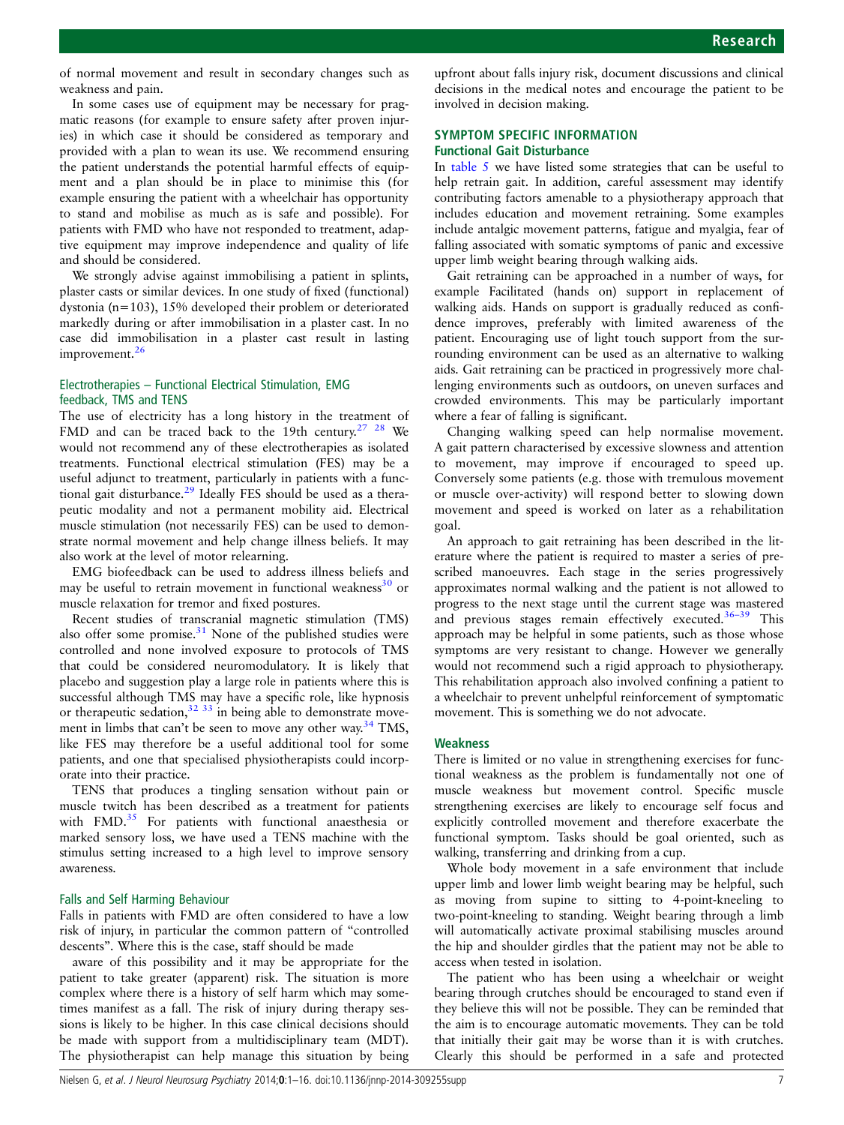of normal movement and result in secondary changes such as weakness and pain.

In some cases use of equipment may be necessary for pragmatic reasons (for example to ensure safety after proven injuries) in which case it should be considered as temporary and provided with a plan to wean its use. We recommend ensuring the patient understands the potential harmful effects of equipment and a plan should be in place to minimise this (for example ensuring the patient with a wheelchair has opportunity to stand and mobilise as much as is safe and possible). For patients with FMD who have not responded to treatment, adaptive equipment may improve independence and quality of life and should be considered.

We strongly advise against immobilising a patient in splints, plaster casts or similar devices. In one study of fixed (functional) dystonia (n=103), 15% developed their problem or deteriorated markedly during or after immobilisation in a plaster cast. In no case did immobilisation in a plaster cast result in lasting improvement.<sup>[26](#page-15-0)</sup>

### Electrotherapies – Functional Electrical Stimulation, EMG feedback, TMS and TENS

The use of electricity has a long history in the treatment of FMD and can be traced back to the 19th century.<sup>27</sup> <sup>28</sup> We would not recommend any of these electrotherapies as isolated treatments. Functional electrical stimulation (FES) may be a useful adjunct to treatment, particularly in patients with a func-tional gait disturbance.<sup>[29](#page-15-0)</sup> Ideally FES should be used as a therapeutic modality and not a permanent mobility aid. Electrical muscle stimulation (not necessarily FES) can be used to demonstrate normal movement and help change illness beliefs. It may also work at the level of motor relearning.

EMG biofeedback can be used to address illness beliefs and may be useful to retrain movement in functional weakness<sup>[30](#page-15-0)</sup> or muscle relaxation for tremor and fixed postures.

Recent studies of transcranial magnetic stimulation (TMS) also offer some promise. $31$  None of the published studies were controlled and none involved exposure to protocols of TMS that could be considered neuromodulatory. It is likely that placebo and suggestion play a large role in patients where this is successful although TMS may have a specific role, like hypnosis or therapeutic sedation, $32 \frac{33}{3}$  in being able to demonstrate move-ment in limbs that can't be seen to move any other way.<sup>[34](#page-15-0)</sup> TMS, like FES may therefore be a useful additional tool for some patients, and one that specialised physiotherapists could incorporate into their practice.

TENS that produces a tingling sensation without pain or muscle twitch has been described as a treatment for patients with FMD.<sup>[35](#page-15-0)</sup> For patients with functional anaesthesia or marked sensory loss, we have used a TENS machine with the stimulus setting increased to a high level to improve sensory awareness.

### Falls and Self Harming Behaviour

Falls in patients with FMD are often considered to have a low risk of injury, in particular the common pattern of "controlled descents". Where this is the case, staff should be made

aware of this possibility and it may be appropriate for the patient to take greater (apparent) risk. The situation is more complex where there is a history of self harm which may sometimes manifest as a fall. The risk of injury during therapy sessions is likely to be higher. In this case clinical decisions should be made with support from a multidisciplinary team (MDT). The physiotherapist can help manage this situation by being

upfront about falls injury risk, document discussions and clinical decisions in the medical notes and encourage the patient to be involved in decision making.

### SYMPTOM SPECIFIC INFORMATION Functional Gait Disturbance

In [table 5](#page-5-0) we have listed some strategies that can be useful to help retrain gait. In addition, careful assessment may identify contributing factors amenable to a physiotherapy approach that includes education and movement retraining. Some examples include antalgic movement patterns, fatigue and myalgia, fear of falling associated with somatic symptoms of panic and excessive upper limb weight bearing through walking aids.

Gait retraining can be approached in a number of ways, for example Facilitated (hands on) support in replacement of walking aids. Hands on support is gradually reduced as confidence improves, preferably with limited awareness of the patient. Encouraging use of light touch support from the surrounding environment can be used as an alternative to walking aids. Gait retraining can be practiced in progressively more challenging environments such as outdoors, on uneven surfaces and crowded environments. This may be particularly important where a fear of falling is significant.

Changing walking speed can help normalise movement. A gait pattern characterised by excessive slowness and attention to movement, may improve if encouraged to speed up. Conversely some patients (e.g. those with tremulous movement or muscle over-activity) will respond better to slowing down movement and speed is worked on later as a rehabilitation goal.

An approach to gait retraining has been described in the literature where the patient is required to master a series of prescribed manoeuvres. Each stage in the series progressively approximates normal walking and the patient is not allowed to progress to the next stage until the current stage was mastered and previous stages remain effectively executed. $36-39$  $36-39$  This approach may be helpful in some patients, such as those whose symptoms are very resistant to change. However we generally would not recommend such a rigid approach to physiotherapy. This rehabilitation approach also involved confining a patient to a wheelchair to prevent unhelpful reinforcement of symptomatic movement. This is something we do not advocate.

### Weakness

There is limited or no value in strengthening exercises for functional weakness as the problem is fundamentally not one of muscle weakness but movement control. Specific muscle strengthening exercises are likely to encourage self focus and explicitly controlled movement and therefore exacerbate the functional symptom. Tasks should be goal oriented, such as walking, transferring and drinking from a cup.

Whole body movement in a safe environment that include upper limb and lower limb weight bearing may be helpful, such as moving from supine to sitting to 4-point-kneeling to two-point-kneeling to standing. Weight bearing through a limb will automatically activate proximal stabilising muscles around the hip and shoulder girdles that the patient may not be able to access when tested in isolation.

The patient who has been using a wheelchair or weight bearing through crutches should be encouraged to stand even if they believe this will not be possible. They can be reminded that the aim is to encourage automatic movements. They can be told that initially their gait may be worse than it is with crutches. Clearly this should be performed in a safe and protected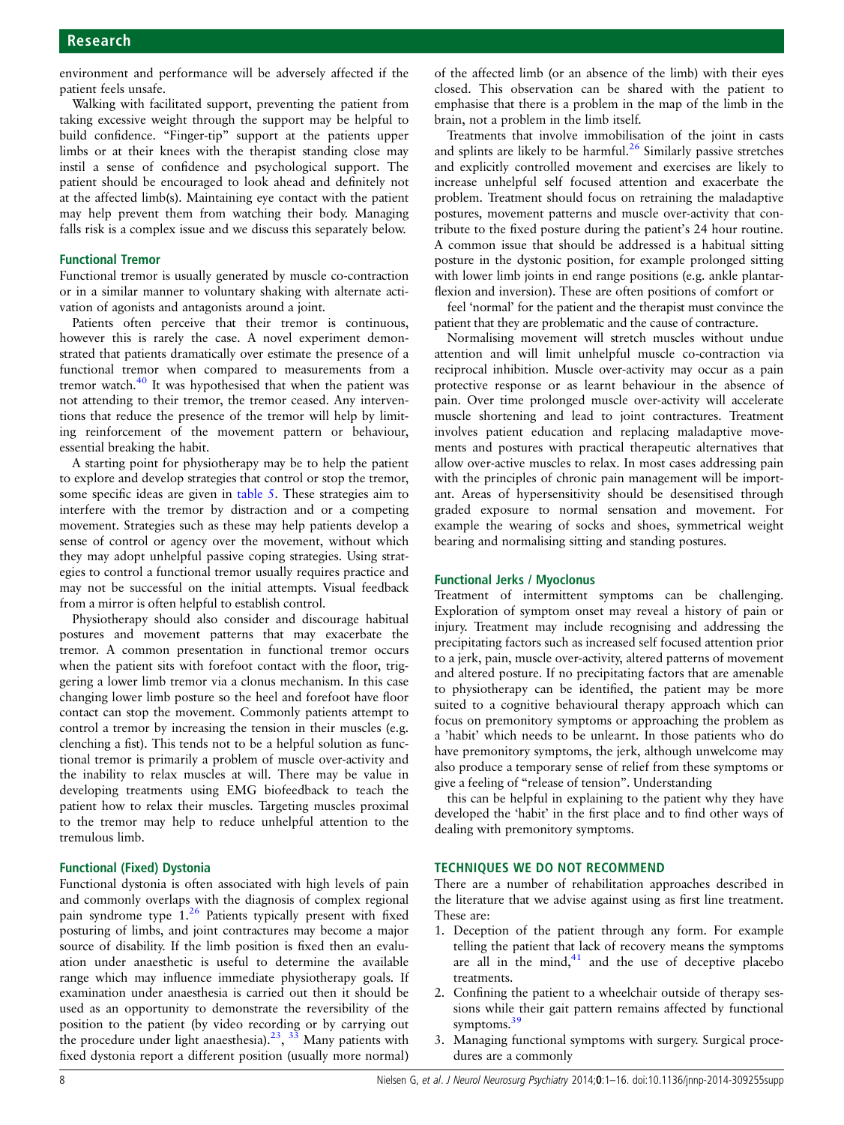environment and performance will be adversely affected if the patient feels unsafe.

Walking with facilitated support, preventing the patient from taking excessive weight through the support may be helpful to build confidence. "Finger-tip" support at the patients upper limbs or at their knees with the therapist standing close may instil a sense of confidence and psychological support. The patient should be encouraged to look ahead and definitely not at the affected limb(s). Maintaining eye contact with the patient may help prevent them from watching their body. Managing falls risk is a complex issue and we discuss this separately below.

### Functional Tremor

Functional tremor is usually generated by muscle co-contraction or in a similar manner to voluntary shaking with alternate activation of agonists and antagonists around a joint.

Patients often perceive that their tremor is continuous, however this is rarely the case. A novel experiment demonstrated that patients dramatically over estimate the presence of a functional tremor when compared to measurements from a tremor watch.<sup>[40](#page-15-0)</sup> It was hypothesised that when the patient was not attending to their tremor, the tremor ceased. Any interventions that reduce the presence of the tremor will help by limiting reinforcement of the movement pattern or behaviour, essential breaking the habit.

A starting point for physiotherapy may be to help the patient to explore and develop strategies that control or stop the tremor, some specific ideas are given in [table 5](#page-5-0). These strategies aim to interfere with the tremor by distraction and or a competing movement. Strategies such as these may help patients develop a sense of control or agency over the movement, without which they may adopt unhelpful passive coping strategies. Using strategies to control a functional tremor usually requires practice and may not be successful on the initial attempts. Visual feedback from a mirror is often helpful to establish control.

Physiotherapy should also consider and discourage habitual postures and movement patterns that may exacerbate the tremor. A common presentation in functional tremor occurs when the patient sits with forefoot contact with the floor, triggering a lower limb tremor via a clonus mechanism. In this case changing lower limb posture so the heel and forefoot have floor contact can stop the movement. Commonly patients attempt to control a tremor by increasing the tension in their muscles (e.g. clenching a fist). This tends not to be a helpful solution as functional tremor is primarily a problem of muscle over-activity and the inability to relax muscles at will. There may be value in developing treatments using EMG biofeedback to teach the patient how to relax their muscles. Targeting muscles proximal to the tremor may help to reduce unhelpful attention to the tremulous limb.

#### Functional (Fixed) Dystonia

Functional dystonia is often associated with high levels of pain and commonly overlaps with the diagnosis of complex regional pain syndrome type 1.[26](#page-15-0) Patients typically present with fixed posturing of limbs, and joint contractures may become a major source of disability. If the limb position is fixed then an evaluation under anaesthetic is useful to determine the available range which may influence immediate physiotherapy goals. If examination under anaesthesia is carried out then it should be used as an opportunity to demonstrate the reversibility of the position to the patient (by video recording or by carrying out the procedure under light anaesthesia).<sup>[23](#page-14-0)</sup>,  $^{3\overline{3}}$  Many patients with fixed dystonia report a different position (usually more normal)

of the affected limb (or an absence of the limb) with their eyes closed. This observation can be shared with the patient to emphasise that there is a problem in the map of the limb in the brain, not a problem in the limb itself.

Treatments that involve immobilisation of the joint in casts and splints are likely to be harmful. $26$  Similarly passive stretches and explicitly controlled movement and exercises are likely to increase unhelpful self focused attention and exacerbate the problem. Treatment should focus on retraining the maladaptive postures, movement patterns and muscle over-activity that contribute to the fixed posture during the patient's 24 hour routine. A common issue that should be addressed is a habitual sitting posture in the dystonic position, for example prolonged sitting with lower limb joints in end range positions (e.g. ankle plantarflexion and inversion). These are often positions of comfort or

feel 'normal' for the patient and the therapist must convince the patient that they are problematic and the cause of contracture.

Normalising movement will stretch muscles without undue attention and will limit unhelpful muscle co-contraction via reciprocal inhibition. Muscle over-activity may occur as a pain protective response or as learnt behaviour in the absence of pain. Over time prolonged muscle over-activity will accelerate muscle shortening and lead to joint contractures. Treatment involves patient education and replacing maladaptive movements and postures with practical therapeutic alternatives that allow over-active muscles to relax. In most cases addressing pain with the principles of chronic pain management will be important. Areas of hypersensitivity should be desensitised through graded exposure to normal sensation and movement. For example the wearing of socks and shoes, symmetrical weight bearing and normalising sitting and standing postures.

#### Functional Jerks / Myoclonus

Treatment of intermittent symptoms can be challenging. Exploration of symptom onset may reveal a history of pain or injury. Treatment may include recognising and addressing the precipitating factors such as increased self focused attention prior to a jerk, pain, muscle over-activity, altered patterns of movement and altered posture. If no precipitating factors that are amenable to physiotherapy can be identified, the patient may be more suited to a cognitive behavioural therapy approach which can focus on premonitory symptoms or approaching the problem as a 'habit' which needs to be unlearnt. In those patients who do have premonitory symptoms, the jerk, although unwelcome may also produce a temporary sense of relief from these symptoms or give a feeling of "release of tension". Understanding

this can be helpful in explaining to the patient why they have developed the 'habit' in the first place and to find other ways of dealing with premonitory symptoms.

### TECHNIQUES WE DO NOT RECOMMEND

There are a number of rehabilitation approaches described in the literature that we advise against using as first line treatment. These are:

- 1. Deception of the patient through any form. For example telling the patient that lack of recovery means the symptoms are all in the mind, $41$  and the use of deceptive placebo treatments.
- 2. Confining the patient to a wheelchair outside of therapy sessions while their gait pattern remains affected by functional symptoms.<sup>[39](#page-15-0)</sup>
- 3. Managing functional symptoms with surgery. Surgical procedures are a commonly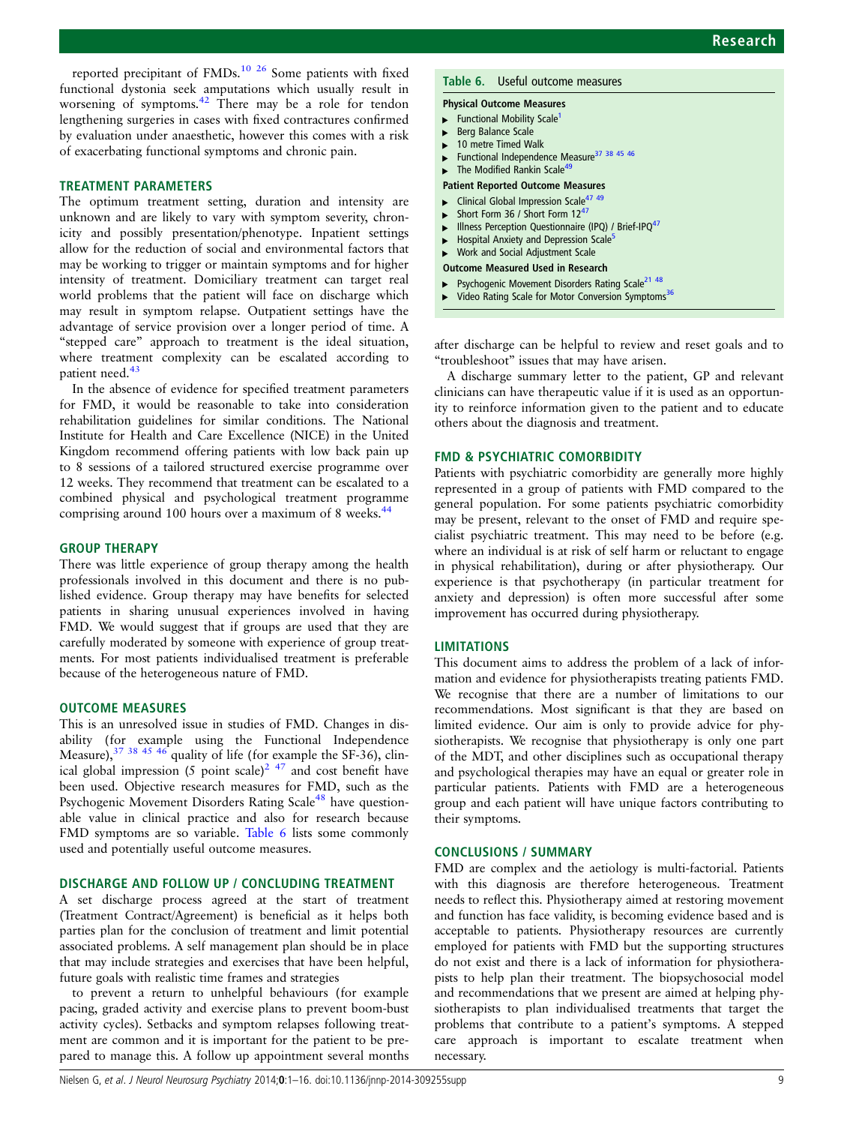reported precipitant of FMDs.<sup>[10](#page-14-0) [26](#page-15-0)</sup> Some patients with fixed functional dystonia seek amputations which usually result in worsening of symptoms.<sup>[42](#page-15-0)</sup> There may be a role for tendon lengthening surgeries in cases with fixed contractures confirmed by evaluation under anaesthetic, however this comes with a risk of exacerbating functional symptoms and chronic pain.

### TREATMENT PARAMETERS

The optimum treatment setting, duration and intensity are unknown and are likely to vary with symptom severity, chronicity and possibly presentation/phenotype. Inpatient settings allow for the reduction of social and environmental factors that may be working to trigger or maintain symptoms and for higher intensity of treatment. Domiciliary treatment can target real world problems that the patient will face on discharge which may result in symptom relapse. Outpatient settings have the advantage of service provision over a longer period of time. A "stepped care" approach to treatment is the ideal situation, where treatment complexity can be escalated according to patient need.<sup>[43](#page-15-0)</sup>

In the absence of evidence for specified treatment parameters for FMD, it would be reasonable to take into consideration rehabilitation guidelines for similar conditions. The National Institute for Health and Care Excellence (NICE) in the United Kingdom recommend offering patients with low back pain up to 8 sessions of a tailored structured exercise programme over 12 weeks. They recommend that treatment can be escalated to a combined physical and psychological treatment programme comprising around 100 hours over a maximum of 8 weeks.<sup>[44](#page-15-0)</sup>

### GROUP THERAPY

There was little experience of group therapy among the health professionals involved in this document and there is no published evidence. Group therapy may have benefits for selected patients in sharing unusual experiences involved in having FMD. We would suggest that if groups are used that they are carefully moderated by someone with experience of group treatments. For most patients individualised treatment is preferable because of the heterogeneous nature of FMD.

#### OUTCOME MEASURES

This is an unresolved issue in studies of FMD. Changes in disability (for example using the Functional Independence Measure),  $37 \frac{38}{45}$   $45 \frac{46}{46}$  quality of life (for example the SF-36), clin-ical global impression (5 point scale)<sup>[2](#page-14-0)</sup> <sup>47</sup> and cost benefit have been used. Objective research measures for FMD, such as the Psychogenic Movement Disorders Rating Scale<sup>[48](#page-15-0)</sup> have questionable value in clinical practice and also for research because FMD symptoms are so variable. Table 6 lists some commonly used and potentially useful outcome measures.

### DISCHARGE AND FOLLOW UP / CONCLUDING TREATMENT

A set discharge process agreed at the start of treatment (Treatment Contract/Agreement) is beneficial as it helps both parties plan for the conclusion of treatment and limit potential associated problems. A self management plan should be in place that may include strategies and exercises that have been helpful, future goals with realistic time frames and strategies

to prevent a return to unhelpful behaviours (for example pacing, graded activity and exercise plans to prevent boom-bust activity cycles). Setbacks and symptom relapses following treatment are common and it is important for the patient to be prepared to manage this. A follow up appointment several months

### Table 6. Useful outcome measures

#### Physical Outcome Measures

- Functional Mobility Scale<sup>[1](#page-14-0)</sup>
- Berg Balance Scale
- 10 metre Timed Walk
- Functional Independence Measure<sup>37</sup> 38 45 46
- The Modified Rankin Scale<sup>4</sup>
- Patient Reported Outcome Measures
- Clinical Global Impression Scale<sup>[47 49](#page-15-0)</sup>
- Short Form 36 / Short Form 12<sup>[47](#page-15-0)</sup>
- Illness Perception Questionnaire (IPQ) / Brief-IPQ<sup>[47](#page-15-0)</sup>
- Hospital Anxiety and Depression Scale<sup>[5](#page-14-0)</sup> Work and Social Adjustment Scale
- 
- Outcome Measured Used in Research Psychogenic Movement Disorders Rating Scale<sup>[21](#page-14-0)</sup> <sup>48</sup>
- Video Rating Scale for Motor Conversion Symptoms<sup>[36](#page-15-0)</sup>
- 

after discharge can be helpful to review and reset goals and to "troubleshoot" issues that may have arisen.

A discharge summary letter to the patient, GP and relevant clinicians can have therapeutic value if it is used as an opportunity to reinforce information given to the patient and to educate others about the diagnosis and treatment.

#### FMD & PSYCHIATRIC COMORBIDITY

Patients with psychiatric comorbidity are generally more highly represented in a group of patients with FMD compared to the general population. For some patients psychiatric comorbidity may be present, relevant to the onset of FMD and require specialist psychiatric treatment. This may need to be before (e.g. where an individual is at risk of self harm or reluctant to engage in physical rehabilitation), during or after physiotherapy. Our experience is that psychotherapy (in particular treatment for anxiety and depression) is often more successful after some improvement has occurred during physiotherapy.

### LIMITATIONS

This document aims to address the problem of a lack of information and evidence for physiotherapists treating patients FMD. We recognise that there are a number of limitations to our recommendations. Most significant is that they are based on limited evidence. Our aim is only to provide advice for physiotherapists. We recognise that physiotherapy is only one part of the MDT, and other disciplines such as occupational therapy and psychological therapies may have an equal or greater role in particular patients. Patients with FMD are a heterogeneous group and each patient will have unique factors contributing to their symptoms.

### CONCLUSIONS / SUMMARY

FMD are complex and the aetiology is multi-factorial. Patients with this diagnosis are therefore heterogeneous. Treatment needs to reflect this. Physiotherapy aimed at restoring movement and function has face validity, is becoming evidence based and is acceptable to patients. Physiotherapy resources are currently employed for patients with FMD but the supporting structures do not exist and there is a lack of information for physiotherapists to help plan their treatment. The biopsychosocial model and recommendations that we present are aimed at helping physiotherapists to plan individualised treatments that target the problems that contribute to a patient's symptoms. A stepped care approach is important to escalate treatment when necessary.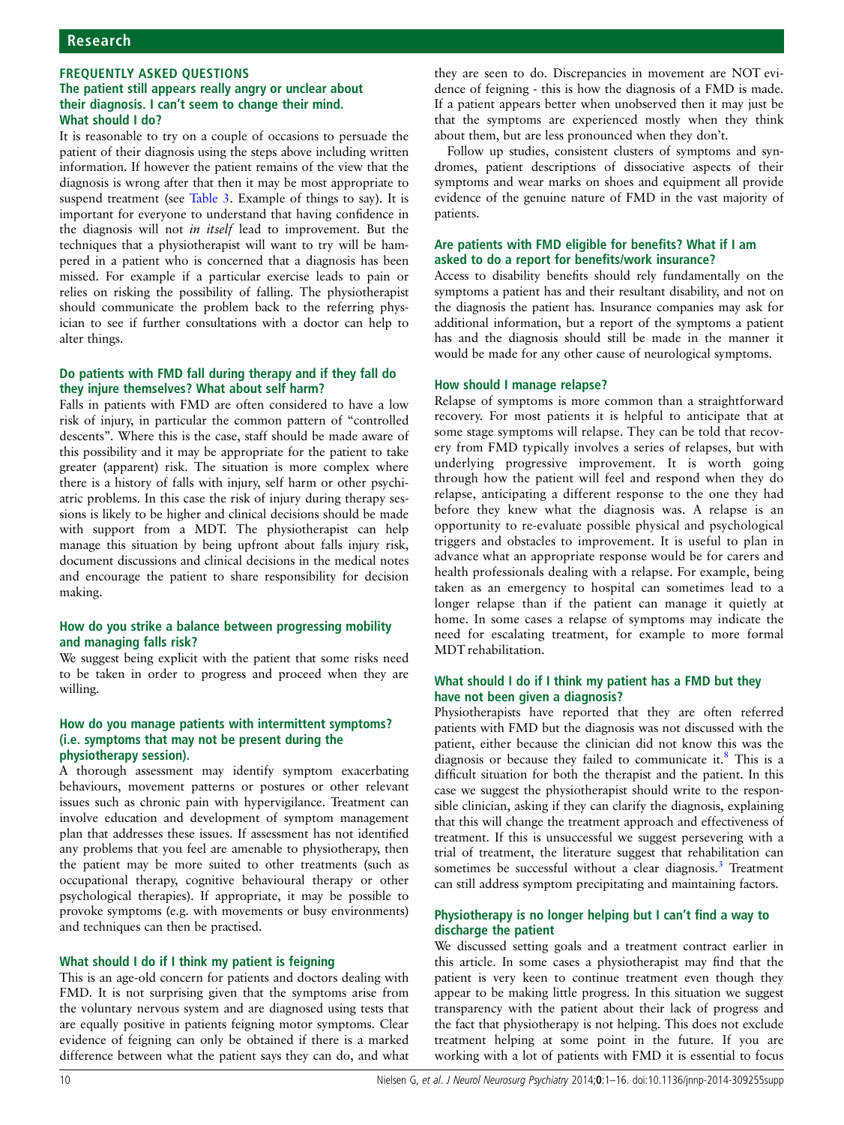### FREQUENTLY ASKED QUESTIONS The patient still appears really angry or unclear about their diagnosis. I can't seem to change their mind. What should I do?

It is reasonable to try on a couple of occasions to persuade the patient of their diagnosis using the steps above including written information. If however the patient remains of the view that the diagnosis is wrong after that then it may be most appropriate to suspend treatment (see [Table 3](#page-3-0). Example of things to say). It is important for everyone to understand that having confidence in the diagnosis will not in itself lead to improvement. But the techniques that a physiotherapist will want to try will be hampered in a patient who is concerned that a diagnosis has been missed. For example if a particular exercise leads to pain or relies on risking the possibility of falling. The physiotherapist should communicate the problem back to the referring physician to see if further consultations with a doctor can help to alter things.

### Do patients with FMD fall during therapy and if they fall do they injure themselves? What about self harm?

Falls in patients with FMD are often considered to have a low risk of injury, in particular the common pattern of "controlled descents". Where this is the case, staff should be made aware of this possibility and it may be appropriate for the patient to take greater (apparent) risk. The situation is more complex where there is a history of falls with injury, self harm or other psychiatric problems. In this case the risk of injury during therapy sessions is likely to be higher and clinical decisions should be made with support from a MDT. The physiotherapist can help manage this situation by being upfront about falls injury risk, document discussions and clinical decisions in the medical notes and encourage the patient to share responsibility for decision making.

### How do you strike a balance between progressing mobility and managing falls risk?

We suggest being explicit with the patient that some risks need to be taken in order to progress and proceed when they are willing.

### How do you manage patients with intermittent symptoms? (i.e. symptoms that may not be present during the physiotherapy session).

A thorough assessment may identify symptom exacerbating behaviours, movement patterns or postures or other relevant issues such as chronic pain with hypervigilance. Treatment can involve education and development of symptom management plan that addresses these issues. If assessment has not identified any problems that you feel are amenable to physiotherapy, then the patient may be more suited to other treatments (such as occupational therapy, cognitive behavioural therapy or other psychological therapies). If appropriate, it may be possible to provoke symptoms (e.g. with movements or busy environments) and techniques can then be practised.

### What should I do if I think my patient is feigning

This is an age-old concern for patients and doctors dealing with FMD. It is not surprising given that the symptoms arise from the voluntary nervous system and are diagnosed using tests that are equally positive in patients feigning motor symptoms. Clear evidence of feigning can only be obtained if there is a marked difference between what the patient says they can do, and what

they are seen to do. Discrepancies in movement are NOT evidence of feigning - this is how the diagnosis of a FMD is made. If a patient appears better when unobserved then it may just be that the symptoms are experienced mostly when they think about them, but are less pronounced when they don't.

Follow up studies, consistent clusters of symptoms and syndromes, patient descriptions of dissociative aspects of their symptoms and wear marks on shoes and equipment all provide evidence of the genuine nature of FMD in the vast majority of patients.

### Are patients with FMD eligible for benefits? What if I am asked to do a report for benefits/work insurance?

Access to disability benefits should rely fundamentally on the symptoms a patient has and their resultant disability, and not on the diagnosis the patient has. Insurance companies may ask for additional information, but a report of the symptoms a patient has and the diagnosis should still be made in the manner it would be made for any other cause of neurological symptoms.

### How should I manage relapse?

Relapse of symptoms is more common than a straightforward recovery. For most patients it is helpful to anticipate that at some stage symptoms will relapse. They can be told that recovery from FMD typically involves a series of relapses, but with underlying progressive improvement. It is worth going through how the patient will feel and respond when they do relapse, anticipating a different response to the one they had before they knew what the diagnosis was. A relapse is an opportunity to re-evaluate possible physical and psychological triggers and obstacles to improvement. It is useful to plan in advance what an appropriate response would be for carers and health professionals dealing with a relapse. For example, being taken as an emergency to hospital can sometimes lead to a longer relapse than if the patient can manage it quietly at home. In some cases a relapse of symptoms may indicate the need for escalating treatment, for example to more formal MDT rehabilitation.

### What should I do if I think my patient has a FMD but they have not been given a diagnosis?

Physiotherapists have reported that they are often referred patients with FMD but the diagnosis was not discussed with the patient, either because the clinician did not know this was the diagnosis or because they failed to communicate it. $8$  This is a difficult situation for both the therapist and the patient. In this case we suggest the physiotherapist should write to the responsible clinician, asking if they can clarify the diagnosis, explaining that this will change the treatment approach and effectiveness of treatment. If this is unsuccessful we suggest persevering with a trial of treatment, the literature suggest that rehabilitation can sometimes be successful without a clear diagnosis.<sup>[3](#page-14-0)</sup> Treatment can still address symptom precipitating and maintaining factors.

### Physiotherapy is no longer helping but I can't find a way to discharge the patient

We discussed setting goals and a treatment contract earlier in this article. In some cases a physiotherapist may find that the patient is very keen to continue treatment even though they appear to be making little progress. In this situation we suggest transparency with the patient about their lack of progress and the fact that physiotherapy is not helping. This does not exclude treatment helping at some point in the future. If you are working with a lot of patients with FMD it is essential to focus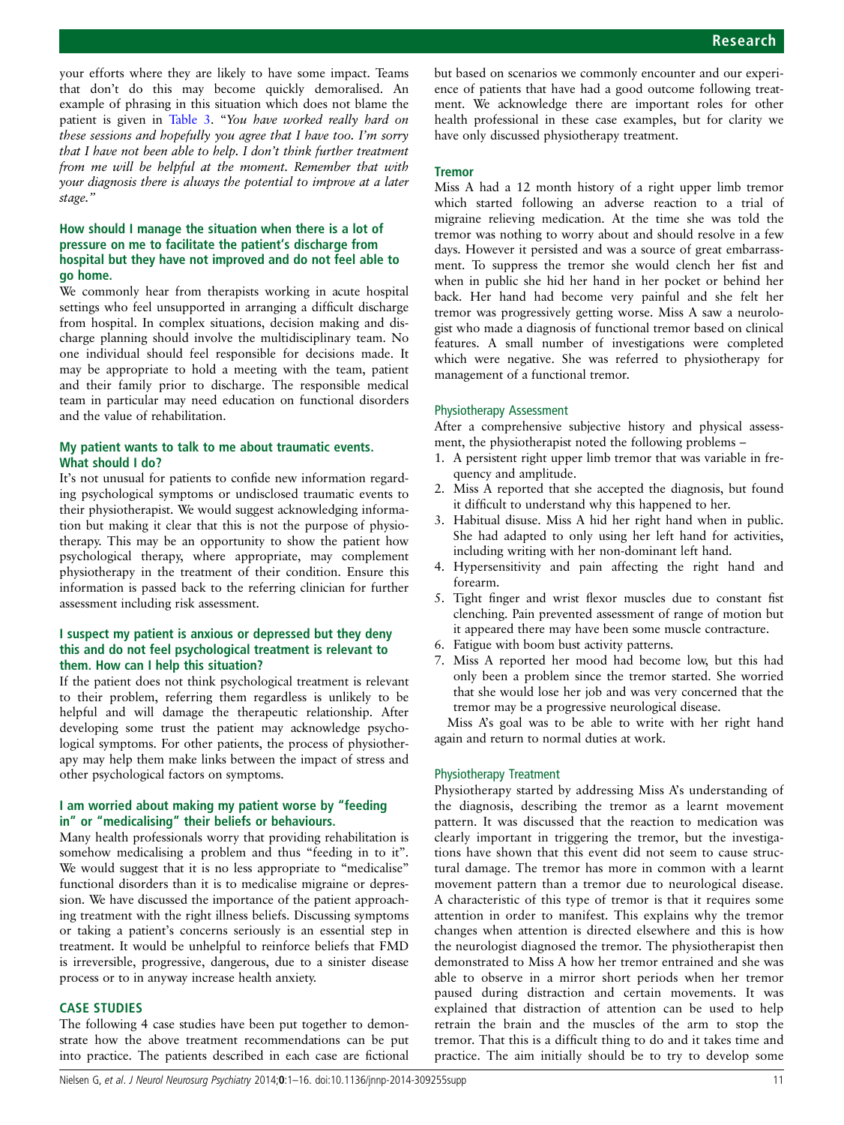your efforts where they are likely to have some impact. Teams that don't do this may become quickly demoralised. An example of phrasing in this situation which does not blame the patient is given in [Table 3.](#page-3-0) "You have worked really hard on these sessions and hopefully you agree that I have too. I'm sorry that I have not been able to help. I don't think further treatment from me will be helpful at the moment. Remember that with your diagnosis there is always the potential to improve at a later stage."

### How should I manage the situation when there is a lot of pressure on me to facilitate the patient's discharge from hospital but they have not improved and do not feel able to go home.

We commonly hear from therapists working in acute hospital settings who feel unsupported in arranging a difficult discharge from hospital. In complex situations, decision making and discharge planning should involve the multidisciplinary team. No one individual should feel responsible for decisions made. It may be appropriate to hold a meeting with the team, patient and their family prior to discharge. The responsible medical team in particular may need education on functional disorders and the value of rehabilitation.

### My patient wants to talk to me about traumatic events. What should I do?

It's not unusual for patients to confide new information regarding psychological symptoms or undisclosed traumatic events to their physiotherapist. We would suggest acknowledging information but making it clear that this is not the purpose of physiotherapy. This may be an opportunity to show the patient how psychological therapy, where appropriate, may complement physiotherapy in the treatment of their condition. Ensure this information is passed back to the referring clinician for further assessment including risk assessment.

### I suspect my patient is anxious or depressed but they deny this and do not feel psychological treatment is relevant to them. How can I help this situation?

If the patient does not think psychological treatment is relevant to their problem, referring them regardless is unlikely to be helpful and will damage the therapeutic relationship. After developing some trust the patient may acknowledge psychological symptoms. For other patients, the process of physiotherapy may help them make links between the impact of stress and other psychological factors on symptoms.

### I am worried about making my patient worse by "feeding in" or "medicalising" their beliefs or behaviours.

Many health professionals worry that providing rehabilitation is somehow medicalising a problem and thus "feeding in to it". We would suggest that it is no less appropriate to "medicalise" functional disorders than it is to medicalise migraine or depression. We have discussed the importance of the patient approaching treatment with the right illness beliefs. Discussing symptoms or taking a patient's concerns seriously is an essential step in treatment. It would be unhelpful to reinforce beliefs that FMD is irreversible, progressive, dangerous, due to a sinister disease process or to in anyway increase health anxiety.

### CASE STUDIES

The following 4 case studies have been put together to demonstrate how the above treatment recommendations can be put into practice. The patients described in each case are fictional but based on scenarios we commonly encounter and our experience of patients that have had a good outcome following treatment. We acknowledge there are important roles for other health professional in these case examples, but for clarity we have only discussed physiotherapy treatment.

### **Tremor**

Miss A had a 12 month history of a right upper limb tremor which started following an adverse reaction to a trial of migraine relieving medication. At the time she was told the tremor was nothing to worry about and should resolve in a few days. However it persisted and was a source of great embarrassment. To suppress the tremor she would clench her fist and when in public she hid her hand in her pocket or behind her back. Her hand had become very painful and she felt her tremor was progressively getting worse. Miss A saw a neurologist who made a diagnosis of functional tremor based on clinical features. A small number of investigations were completed which were negative. She was referred to physiotherapy for management of a functional tremor.

### Physiotherapy Assessment

After a comprehensive subjective history and physical assessment, the physiotherapist noted the following problems –

- 1. A persistent right upper limb tremor that was variable in frequency and amplitude.
- 2. Miss A reported that she accepted the diagnosis, but found it difficult to understand why this happened to her.
- 3. Habitual disuse. Miss A hid her right hand when in public. She had adapted to only using her left hand for activities, including writing with her non-dominant left hand.
- 4. Hypersensitivity and pain affecting the right hand and forearm.
- 5. Tight finger and wrist flexor muscles due to constant fist clenching. Pain prevented assessment of range of motion but it appeared there may have been some muscle contracture.
- 6. Fatigue with boom bust activity patterns.
- 7. Miss A reported her mood had become low, but this had only been a problem since the tremor started. She worried that she would lose her job and was very concerned that the tremor may be a progressive neurological disease.

Miss A's goal was to be able to write with her right hand again and return to normal duties at work.

### Physiotherapy Treatment

Physiotherapy started by addressing Miss A's understanding of the diagnosis, describing the tremor as a learnt movement pattern. It was discussed that the reaction to medication was clearly important in triggering the tremor, but the investigations have shown that this event did not seem to cause structural damage. The tremor has more in common with a learnt movement pattern than a tremor due to neurological disease. A characteristic of this type of tremor is that it requires some attention in order to manifest. This explains why the tremor changes when attention is directed elsewhere and this is how the neurologist diagnosed the tremor. The physiotherapist then demonstrated to Miss A how her tremor entrained and she was able to observe in a mirror short periods when her tremor paused during distraction and certain movements. It was explained that distraction of attention can be used to help retrain the brain and the muscles of the arm to stop the tremor. That this is a difficult thing to do and it takes time and practice. The aim initially should be to try to develop some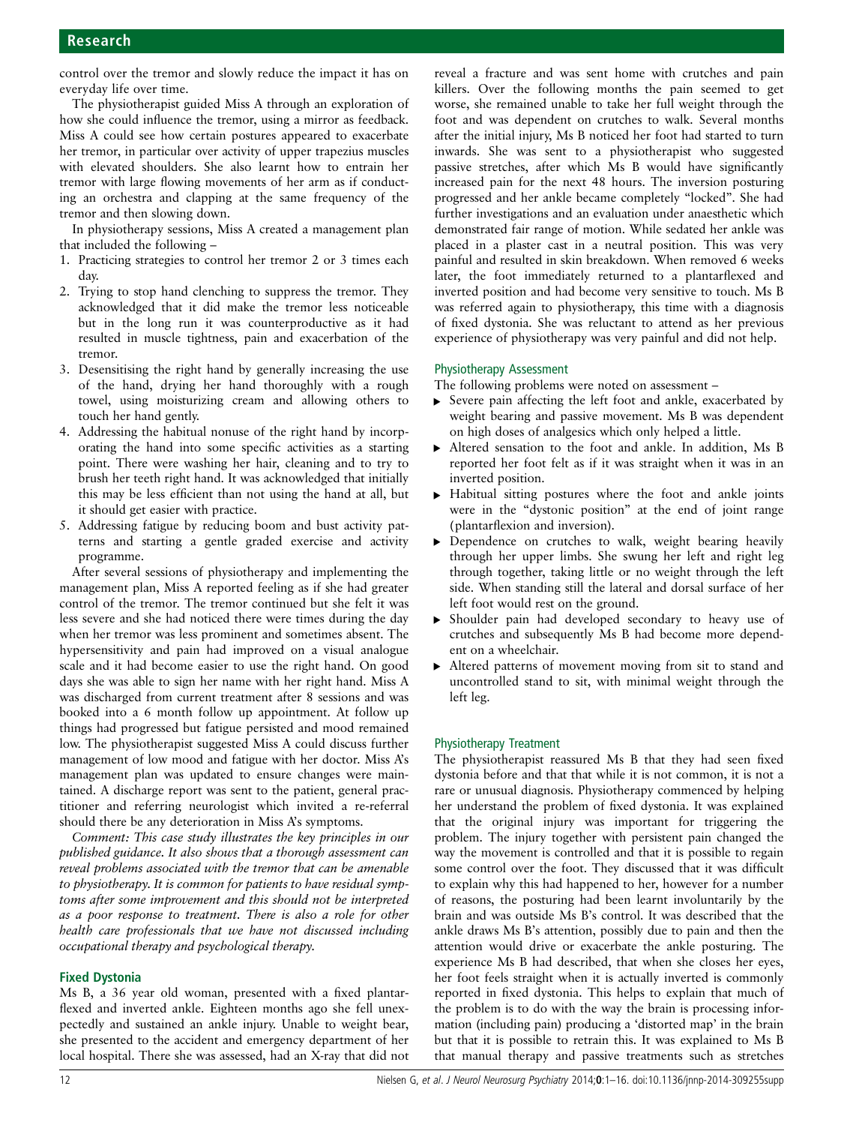control over the tremor and slowly reduce the impact it has on everyday life over time.

The physiotherapist guided Miss A through an exploration of how she could influence the tremor, using a mirror as feedback. Miss A could see how certain postures appeared to exacerbate her tremor, in particular over activity of upper trapezius muscles with elevated shoulders. She also learnt how to entrain her tremor with large flowing movements of her arm as if conducting an orchestra and clapping at the same frequency of the tremor and then slowing down.

In physiotherapy sessions, Miss A created a management plan that included the following –

- 1. Practicing strategies to control her tremor 2 or 3 times each day.
- 2. Trying to stop hand clenching to suppress the tremor. They acknowledged that it did make the tremor less noticeable but in the long run it was counterproductive as it had resulted in muscle tightness, pain and exacerbation of the tremor.
- 3. Desensitising the right hand by generally increasing the use of the hand, drying her hand thoroughly with a rough towel, using moisturizing cream and allowing others to touch her hand gently.
- 4. Addressing the habitual nonuse of the right hand by incorporating the hand into some specific activities as a starting point. There were washing her hair, cleaning and to try to brush her teeth right hand. It was acknowledged that initially this may be less efficient than not using the hand at all, but it should get easier with practice.
- 5. Addressing fatigue by reducing boom and bust activity patterns and starting a gentle graded exercise and activity programme.

After several sessions of physiotherapy and implementing the management plan, Miss A reported feeling as if she had greater control of the tremor. The tremor continued but she felt it was less severe and she had noticed there were times during the day when her tremor was less prominent and sometimes absent. The hypersensitivity and pain had improved on a visual analogue scale and it had become easier to use the right hand. On good days she was able to sign her name with her right hand. Miss A was discharged from current treatment after 8 sessions and was booked into a 6 month follow up appointment. At follow up things had progressed but fatigue persisted and mood remained low. The physiotherapist suggested Miss A could discuss further management of low mood and fatigue with her doctor. Miss A's management plan was updated to ensure changes were maintained. A discharge report was sent to the patient, general practitioner and referring neurologist which invited a re-referral should there be any deterioration in Miss A's symptoms.

Comment: This case study illustrates the key principles in our published guidance. It also shows that a thorough assessment can reveal problems associated with the tremor that can be amenable to physiotherapy. It is common for patients to have residual symptoms after some improvement and this should not be interpreted as a poor response to treatment. There is also a role for other health care professionals that we have not discussed including occupational therapy and psychological therapy.

### Fixed Dystonia

Ms B, a 36 year old woman, presented with a fixed plantarflexed and inverted ankle. Eighteen months ago she fell unexpectedly and sustained an ankle injury. Unable to weight bear, she presented to the accident and emergency department of her local hospital. There she was assessed, had an X-ray that did not

reveal a fracture and was sent home with crutches and pain killers. Over the following months the pain seemed to get worse, she remained unable to take her full weight through the foot and was dependent on crutches to walk. Several months after the initial injury, Ms B noticed her foot had started to turn inwards. She was sent to a physiotherapist who suggested passive stretches, after which Ms B would have significantly increased pain for the next 48 hours. The inversion posturing progressed and her ankle became completely "locked". She had further investigations and an evaluation under anaesthetic which demonstrated fair range of motion. While sedated her ankle was placed in a plaster cast in a neutral position. This was very painful and resulted in skin breakdown. When removed 6 weeks later, the foot immediately returned to a plantarflexed and inverted position and had become very sensitive to touch. Ms B was referred again to physiotherapy, this time with a diagnosis of fixed dystonia. She was reluctant to attend as her previous experience of physiotherapy was very painful and did not help.

### Physiotherapy Assessment

The following problems were noted on assessment –

- ▸ Severe pain affecting the left foot and ankle, exacerbated by weight bearing and passive movement. Ms B was dependent on high doses of analgesics which only helped a little.
- ▸ Altered sensation to the foot and ankle. In addition, Ms B reported her foot felt as if it was straight when it was in an inverted position.
- ▸ Habitual sitting postures where the foot and ankle joints were in the "dystonic position" at the end of joint range (plantarflexion and inversion).
- ▸ Dependence on crutches to walk, weight bearing heavily through her upper limbs. She swung her left and right leg through together, taking little or no weight through the left side. When standing still the lateral and dorsal surface of her left foot would rest on the ground.
- ▸ Shoulder pain had developed secondary to heavy use of crutches and subsequently Ms B had become more dependent on a wheelchair.
- ▸ Altered patterns of movement moving from sit to stand and uncontrolled stand to sit, with minimal weight through the left leg.

### Physiotherapy Treatment

The physiotherapist reassured Ms B that they had seen fixed dystonia before and that that while it is not common, it is not a rare or unusual diagnosis. Physiotherapy commenced by helping her understand the problem of fixed dystonia. It was explained that the original injury was important for triggering the problem. The injury together with persistent pain changed the way the movement is controlled and that it is possible to regain some control over the foot. They discussed that it was difficult to explain why this had happened to her, however for a number of reasons, the posturing had been learnt involuntarily by the brain and was outside Ms B's control. It was described that the ankle draws Ms B's attention, possibly due to pain and then the attention would drive or exacerbate the ankle posturing. The experience Ms B had described, that when she closes her eyes, her foot feels straight when it is actually inverted is commonly reported in fixed dystonia. This helps to explain that much of the problem is to do with the way the brain is processing information (including pain) producing a 'distorted map' in the brain but that it is possible to retrain this. It was explained to Ms B that manual therapy and passive treatments such as stretches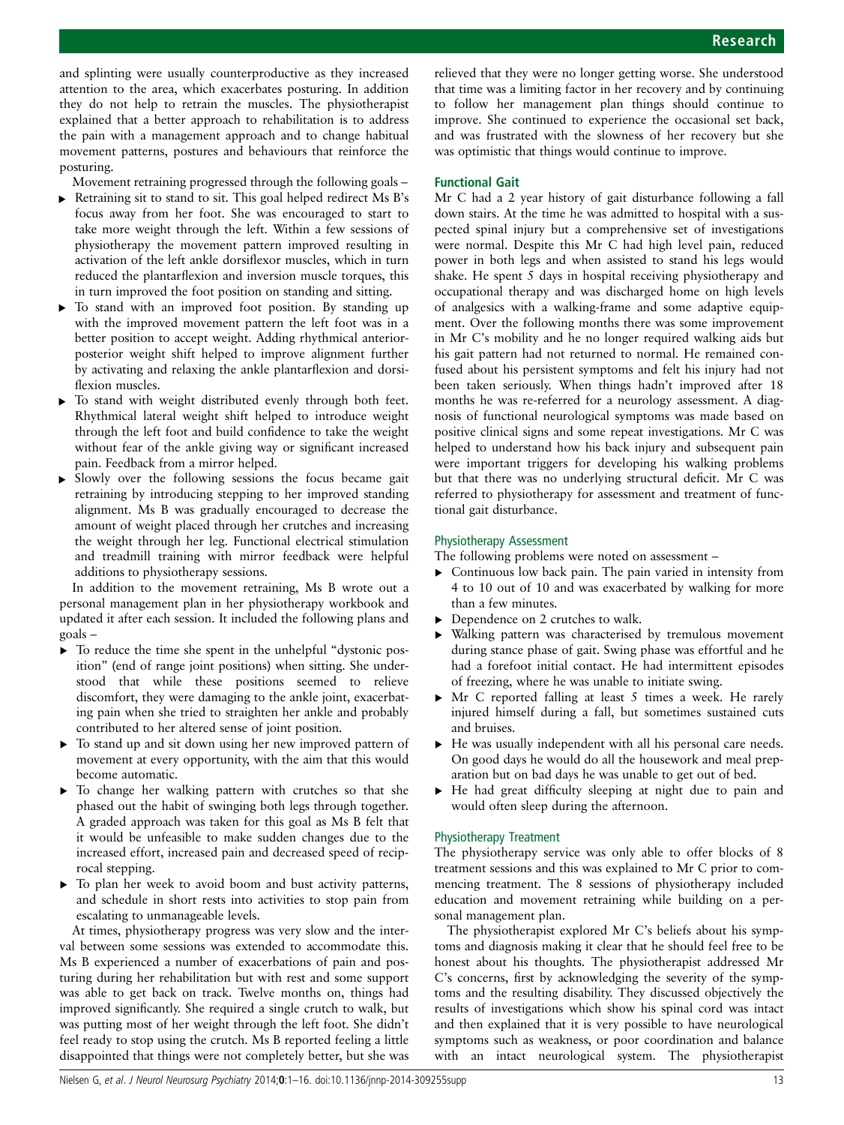and splinting were usually counterproductive as they increased attention to the area, which exacerbates posturing. In addition they do not help to retrain the muscles. The physiotherapist explained that a better approach to rehabilitation is to address the pain with a management approach and to change habitual movement patterns, postures and behaviours that reinforce the posturing.

Movement retraining progressed through the following goals –

- ▸ Retraining sit to stand to sit. This goal helped redirect Ms B's focus away from her foot. She was encouraged to start to take more weight through the left. Within a few sessions of physiotherapy the movement pattern improved resulting in activation of the left ankle dorsiflexor muscles, which in turn reduced the plantarflexion and inversion muscle torques, this in turn improved the foot position on standing and sitting.
- To stand with an improved foot position. By standing up with the improved movement pattern the left foot was in a better position to accept weight. Adding rhythmical anteriorposterior weight shift helped to improve alignment further by activating and relaxing the ankle plantarflexion and dorsiflexion muscles.
- To stand with weight distributed evenly through both feet. Rhythmical lateral weight shift helped to introduce weight through the left foot and build confidence to take the weight without fear of the ankle giving way or significant increased pain. Feedback from a mirror helped.
- ▸ Slowly over the following sessions the focus became gait retraining by introducing stepping to her improved standing alignment. Ms B was gradually encouraged to decrease the amount of weight placed through her crutches and increasing the weight through her leg. Functional electrical stimulation and treadmill training with mirror feedback were helpful additions to physiotherapy sessions.

In addition to the movement retraining, Ms B wrote out a personal management plan in her physiotherapy workbook and updated it after each session. It included the following plans and goals –

- ▸ To reduce the time she spent in the unhelpful "dystonic position" (end of range joint positions) when sitting. She understood that while these positions seemed to relieve discomfort, they were damaging to the ankle joint, exacerbating pain when she tried to straighten her ankle and probably contributed to her altered sense of joint position.
- ▸ To stand up and sit down using her new improved pattern of movement at every opportunity, with the aim that this would become automatic.
- ▸ To change her walking pattern with crutches so that she phased out the habit of swinging both legs through together. A graded approach was taken for this goal as Ms B felt that it would be unfeasible to make sudden changes due to the increased effort, increased pain and decreased speed of reciprocal stepping.
- ▶ To plan her week to avoid boom and bust activity patterns, and schedule in short rests into activities to stop pain from escalating to unmanageable levels.

At times, physiotherapy progress was very slow and the interval between some sessions was extended to accommodate this. Ms B experienced a number of exacerbations of pain and posturing during her rehabilitation but with rest and some support was able to get back on track. Twelve months on, things had improved significantly. She required a single crutch to walk, but was putting most of her weight through the left foot. She didn't feel ready to stop using the crutch. Ms B reported feeling a little disappointed that things were not completely better, but she was

relieved that they were no longer getting worse. She understood that time was a limiting factor in her recovery and by continuing to follow her management plan things should continue to improve. She continued to experience the occasional set back, and was frustrated with the slowness of her recovery but she was optimistic that things would continue to improve.

### Functional Gait

Mr C had a 2 year history of gait disturbance following a fall down stairs. At the time he was admitted to hospital with a suspected spinal injury but a comprehensive set of investigations were normal. Despite this Mr C had high level pain, reduced power in both legs and when assisted to stand his legs would shake. He spent 5 days in hospital receiving physiotherapy and occupational therapy and was discharged home on high levels of analgesics with a walking-frame and some adaptive equipment. Over the following months there was some improvement in Mr C's mobility and he no longer required walking aids but his gait pattern had not returned to normal. He remained confused about his persistent symptoms and felt his injury had not been taken seriously. When things hadn't improved after 18 months he was re-referred for a neurology assessment. A diagnosis of functional neurological symptoms was made based on positive clinical signs and some repeat investigations. Mr C was helped to understand how his back injury and subsequent pain were important triggers for developing his walking problems but that there was no underlying structural deficit. Mr C was referred to physiotherapy for assessment and treatment of functional gait disturbance.

### Physiotherapy Assessment

The following problems were noted on assessment –

- ▸ Continuous low back pain. The pain varied in intensity from 4 to 10 out of 10 and was exacerbated by walking for more than a few minutes.
- ▶ Dependence on 2 crutches to walk.
- ▸ Walking pattern was characterised by tremulous movement during stance phase of gait. Swing phase was effortful and he had a forefoot initial contact. He had intermittent episodes of freezing, where he was unable to initiate swing.
- $\triangleright$  Mr C reported falling at least 5 times a week. He rarely injured himself during a fall, but sometimes sustained cuts and bruises.
- ▸ He was usually independent with all his personal care needs. On good days he would do all the housework and meal preparation but on bad days he was unable to get out of bed.
- ▸ He had great difficulty sleeping at night due to pain and would often sleep during the afternoon.

### Physiotherapy Treatment

The physiotherapy service was only able to offer blocks of 8 treatment sessions and this was explained to Mr C prior to commencing treatment. The 8 sessions of physiotherapy included education and movement retraining while building on a personal management plan.

The physiotherapist explored Mr C's beliefs about his symptoms and diagnosis making it clear that he should feel free to be honest about his thoughts. The physiotherapist addressed Mr C's concerns, first by acknowledging the severity of the symptoms and the resulting disability. They discussed objectively the results of investigations which show his spinal cord was intact and then explained that it is very possible to have neurological symptoms such as weakness, or poor coordination and balance with an intact neurological system. The physiotherapist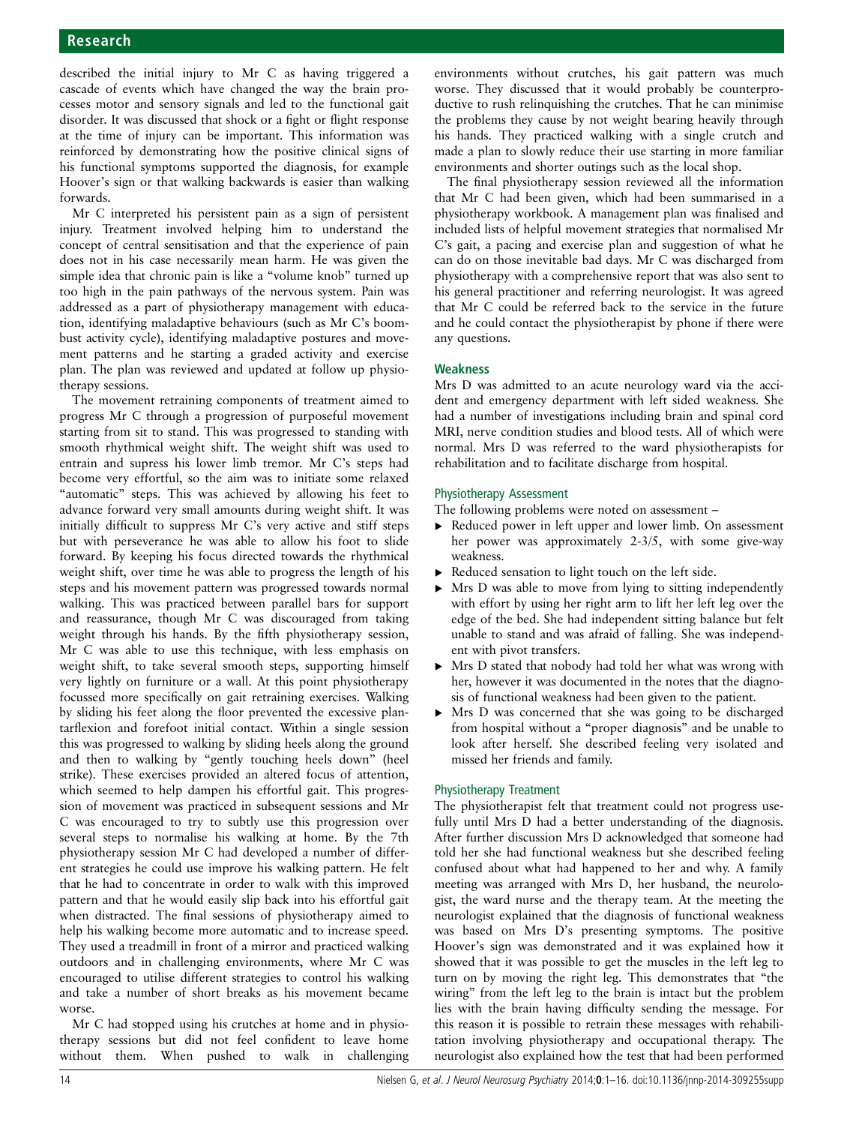described the initial injury to Mr C as having triggered a cascade of events which have changed the way the brain processes motor and sensory signals and led to the functional gait disorder. It was discussed that shock or a fight or flight response at the time of injury can be important. This information was reinforced by demonstrating how the positive clinical signs of his functional symptoms supported the diagnosis, for example Hoover's sign or that walking backwards is easier than walking forwards.

Mr C interpreted his persistent pain as a sign of persistent injury. Treatment involved helping him to understand the concept of central sensitisation and that the experience of pain does not in his case necessarily mean harm. He was given the simple idea that chronic pain is like a "volume knob" turned up too high in the pain pathways of the nervous system. Pain was addressed as a part of physiotherapy management with education, identifying maladaptive behaviours (such as Mr C's boombust activity cycle), identifying maladaptive postures and movement patterns and he starting a graded activity and exercise plan. The plan was reviewed and updated at follow up physiotherapy sessions.

The movement retraining components of treatment aimed to progress Mr C through a progression of purposeful movement starting from sit to stand. This was progressed to standing with smooth rhythmical weight shift. The weight shift was used to entrain and supress his lower limb tremor. Mr C's steps had become very effortful, so the aim was to initiate some relaxed "automatic" steps. This was achieved by allowing his feet to advance forward very small amounts during weight shift. It was initially difficult to suppress Mr C's very active and stiff steps but with perseverance he was able to allow his foot to slide forward. By keeping his focus directed towards the rhythmical weight shift, over time he was able to progress the length of his steps and his movement pattern was progressed towards normal walking. This was practiced between parallel bars for support and reassurance, though Mr C was discouraged from taking weight through his hands. By the fifth physiotherapy session, Mr C was able to use this technique, with less emphasis on weight shift, to take several smooth steps, supporting himself very lightly on furniture or a wall. At this point physiotherapy focussed more specifically on gait retraining exercises. Walking by sliding his feet along the floor prevented the excessive plantarflexion and forefoot initial contact. Within a single session this was progressed to walking by sliding heels along the ground and then to walking by "gently touching heels down" (heel strike). These exercises provided an altered focus of attention, which seemed to help dampen his effortful gait. This progression of movement was practiced in subsequent sessions and Mr C was encouraged to try to subtly use this progression over several steps to normalise his walking at home. By the 7th physiotherapy session Mr C had developed a number of different strategies he could use improve his walking pattern. He felt that he had to concentrate in order to walk with this improved pattern and that he would easily slip back into his effortful gait when distracted. The final sessions of physiotherapy aimed to help his walking become more automatic and to increase speed. They used a treadmill in front of a mirror and practiced walking outdoors and in challenging environments, where Mr C was encouraged to utilise different strategies to control his walking and take a number of short breaks as his movement became worse.

Mr C had stopped using his crutches at home and in physiotherapy sessions but did not feel confident to leave home without them. When pushed to walk in challenging

environments without crutches, his gait pattern was much worse. They discussed that it would probably be counterproductive to rush relinquishing the crutches. That he can minimise the problems they cause by not weight bearing heavily through his hands. They practiced walking with a single crutch and made a plan to slowly reduce their use starting in more familiar environments and shorter outings such as the local shop.

The final physiotherapy session reviewed all the information that Mr C had been given, which had been summarised in a physiotherapy workbook. A management plan was finalised and included lists of helpful movement strategies that normalised Mr C's gait, a pacing and exercise plan and suggestion of what he can do on those inevitable bad days. Mr C was discharged from physiotherapy with a comprehensive report that was also sent to his general practitioner and referring neurologist. It was agreed that Mr C could be referred back to the service in the future and he could contact the physiotherapist by phone if there were any questions.

### Weakness

Mrs D was admitted to an acute neurology ward via the accident and emergency department with left sided weakness. She had a number of investigations including brain and spinal cord MRI, nerve condition studies and blood tests. All of which were normal. Mrs D was referred to the ward physiotherapists for rehabilitation and to facilitate discharge from hospital.

### Physiotherapy Assessment

The following problems were noted on assessment –

- ▸ Reduced power in left upper and lower limb. On assessment her power was approximately 2-3/5, with some give-way weakness.
- ▸ Reduced sensation to light touch on the left side.
- Mrs D was able to move from lying to sitting independently with effort by using her right arm to lift her left leg over the edge of the bed. She had independent sitting balance but felt unable to stand and was afraid of falling. She was independent with pivot transfers.
- ▸ Mrs D stated that nobody had told her what was wrong with her, however it was documented in the notes that the diagnosis of functional weakness had been given to the patient.
- ▸ Mrs D was concerned that she was going to be discharged from hospital without a "proper diagnosis" and be unable to look after herself. She described feeling very isolated and missed her friends and family.

### Physiotherapy Treatment

The physiotherapist felt that treatment could not progress usefully until Mrs D had a better understanding of the diagnosis. After further discussion Mrs D acknowledged that someone had told her she had functional weakness but she described feeling confused about what had happened to her and why. A family meeting was arranged with Mrs D, her husband, the neurologist, the ward nurse and the therapy team. At the meeting the neurologist explained that the diagnosis of functional weakness was based on Mrs D's presenting symptoms. The positive Hoover's sign was demonstrated and it was explained how it showed that it was possible to get the muscles in the left leg to turn on by moving the right leg. This demonstrates that "the wiring" from the left leg to the brain is intact but the problem lies with the brain having difficulty sending the message. For this reason it is possible to retrain these messages with rehabilitation involving physiotherapy and occupational therapy. The neurologist also explained how the test that had been performed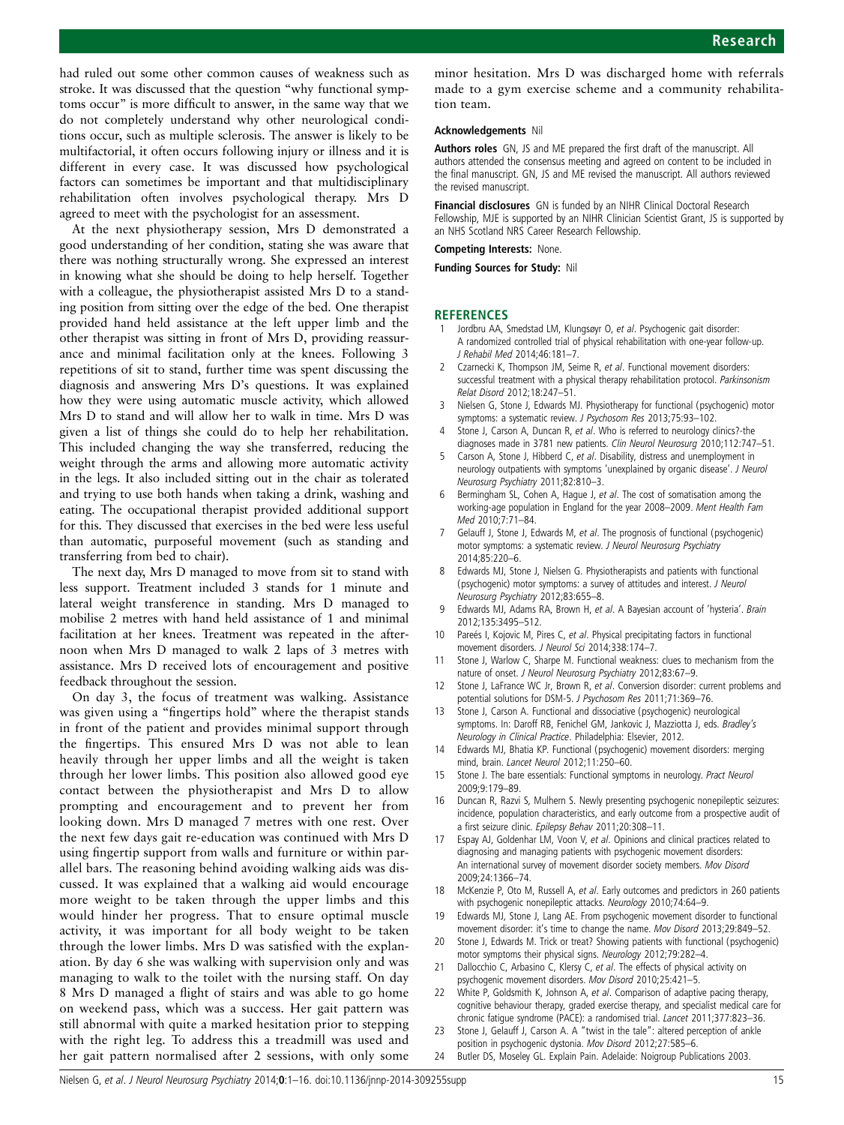<span id="page-14-0"></span>had ruled out some other common causes of weakness such as stroke. It was discussed that the question "why functional symptoms occur" is more difficult to answer, in the same way that we do not completely understand why other neurological conditions occur, such as multiple sclerosis. The answer is likely to be multifactorial, it often occurs following injury or illness and it is different in every case. It was discussed how psychological factors can sometimes be important and that multidisciplinary rehabilitation often involves psychological therapy. Mrs D agreed to meet with the psychologist for an assessment.

At the next physiotherapy session, Mrs D demonstrated a good understanding of her condition, stating she was aware that there was nothing structurally wrong. She expressed an interest in knowing what she should be doing to help herself. Together with a colleague, the physiotherapist assisted Mrs D to a standing position from sitting over the edge of the bed. One therapist provided hand held assistance at the left upper limb and the other therapist was sitting in front of Mrs D, providing reassurance and minimal facilitation only at the knees. Following 3 repetitions of sit to stand, further time was spent discussing the diagnosis and answering Mrs D's questions. It was explained how they were using automatic muscle activity, which allowed Mrs D to stand and will allow her to walk in time. Mrs D was given a list of things she could do to help her rehabilitation. This included changing the way she transferred, reducing the weight through the arms and allowing more automatic activity in the legs. It also included sitting out in the chair as tolerated and trying to use both hands when taking a drink, washing and eating. The occupational therapist provided additional support for this. They discussed that exercises in the bed were less useful than automatic, purposeful movement (such as standing and transferring from bed to chair).

The next day, Mrs D managed to move from sit to stand with less support. Treatment included 3 stands for 1 minute and lateral weight transference in standing. Mrs D managed to mobilise 2 metres with hand held assistance of 1 and minimal facilitation at her knees. Treatment was repeated in the afternoon when Mrs D managed to walk 2 laps of 3 metres with assistance. Mrs D received lots of encouragement and positive feedback throughout the session.

On day 3, the focus of treatment was walking. Assistance was given using a "fingertips hold" where the therapist stands in front of the patient and provides minimal support through the fingertips. This ensured Mrs D was not able to lean heavily through her upper limbs and all the weight is taken through her lower limbs. This position also allowed good eye contact between the physiotherapist and Mrs D to allow prompting and encouragement and to prevent her from looking down. Mrs D managed 7 metres with one rest. Over the next few days gait re-education was continued with Mrs D using fingertip support from walls and furniture or within parallel bars. The reasoning behind avoiding walking aids was discussed. It was explained that a walking aid would encourage more weight to be taken through the upper limbs and this would hinder her progress. That to ensure optimal muscle activity, it was important for all body weight to be taken through the lower limbs. Mrs D was satisfied with the explanation. By day 6 she was walking with supervision only and was managing to walk to the toilet with the nursing staff. On day 8 Mrs D managed a flight of stairs and was able to go home on weekend pass, which was a success. Her gait pattern was still abnormal with quite a marked hesitation prior to stepping with the right leg. To address this a treadmill was used and her gait pattern normalised after 2 sessions, with only some

minor hesitation. Mrs D was discharged home with referrals made to a gym exercise scheme and a community rehabilitation team.

#### Acknowledgements Nil

Authors roles GN, JS and ME prepared the first draft of the manuscript. All authors attended the consensus meeting and agreed on content to be included in the final manuscript. GN, JS and ME revised the manuscript. All authors reviewed the revised manuscript.

Financial disclosures GN is funded by an NIHR Clinical Doctoral Research Fellowship, MJE is supported by an NIHR Clinician Scientist Grant, JS is supported by an NHS Scotland NRS Career Research Fellowship.

#### Competing Interests: None.

Funding Sources for Study: Nil

#### **REFERENCES**

- Jordbru AA, Smedstad LM, Klungsøyr O, et al. Psychogenic gait disorder: A randomized controlled trial of physical rehabilitation with one-year follow-up. J Rehabil Med 2014;46:181–7.
- Czarnecki K, Thompson JM, Seime R, et al. Functional movement disorders: successful treatment with a physical therapy rehabilitation protocol. Parkinsonism Relat Disord 2012;18:247–51.
- 3 Nielsen G, Stone J, Edwards MJ. Physiotherapy for functional (psychogenic) motor symptoms: a systematic review. J Psychosom Res 2013;75:93–102.
- Stone J, Carson A, Duncan R, et al. Who is referred to neurology clinics?-the diagnoses made in 3781 new patients. Clin Neurol Neurosurg 2010;112:747-51.
- Carson A, Stone J, Hibberd C, et al. Disability, distress and unemployment in neurology outpatients with symptoms 'unexplained by organic disease'. J Neurol Neurosurg Psychiatry 2011;82:810–3.
- Bermingham SL, Cohen A, Hague J, et al. The cost of somatisation among the working-age population in England for the year 2008–2009. Ment Health Fam Med 2010;7:71–84.
- 7 Gelauff J, Stone J, Edwards M, et al. The prognosis of functional (psychogenic) motor symptoms: a systematic review. J Neurol Neurosurg Psychiatry 2014;85:220–6.
- 8 Edwards MJ, Stone J, Nielsen G. Physiotherapists and patients with functional (psychogenic) motor symptoms: a survey of attitudes and interest. J Neurol Neurosurg Psychiatry 2012;83:655–8.
- 9 Edwards MJ, Adams RA, Brown H, et al. A Bayesian account of 'hysteria'. Brain 2012;135:3495–512.
- 10 Pareés I, Kojovic M, Pires C, et al. Physical precipitating factors in functional movement disorders. J Neurol Sci 2014;338:174–7.
- 11 Stone J, Warlow C, Sharpe M. Functional weakness: clues to mechanism from the nature of onset. J Neurol Neurosurg Psychiatry 2012;83:67-9.
- 12 Stone J, LaFrance WC Jr, Brown R, et al. Conversion disorder: current problems and potential solutions for DSM-5. J Psychosom Res 2011;71:369–76.
- 13 Stone J, Carson A. Functional and dissociative (psychogenic) neurological symptoms. In: Daroff RB, Fenichel GM, Jankovic J, Mazziotta J, eds. Bradley's Neurology in Clinical Practice. Philadelphia: Elsevier, 2012.
- 14 Edwards MJ, Bhatia KP. Functional (psychogenic) movement disorders: merging mind, brain. Lancet Neurol 2012;11:250–60.
- 15 Stone J. The bare essentials: Functional symptoms in neurology. Pract Neurol 2009;9:179–89.
- 16 Duncan R, Razvi S, Mulhern S. Newly presenting psychogenic nonepileptic seizures: incidence, population characteristics, and early outcome from a prospective audit of a first seizure clinic. Epilepsy Behav 2011;20:308–11.
- 17 Espay AJ, Goldenhar LM, Voon V, et al. Opinions and clinical practices related to diagnosing and managing patients with psychogenic movement disorders: An international survey of movement disorder society members. Mov Disord 2009;24:1366–74.
- 18 McKenzie P, Oto M, Russell A, et al. Early outcomes and predictors in 260 patients with psychogenic nonepileptic attacks. Neurology 2010;74:64–9.
- 19 Edwards MJ, Stone J, Lang AE. From psychogenic movement disorder to functional movement disorder: it's time to change the name. Mov Disord 2013;29:849–52.
- 20 Stone J, Edwards M. Trick or treat? Showing patients with functional (psychogenic) motor symptoms their physical signs. Neurology 2012;79:282–4.
- 21 Dallocchio C, Arbasino C, Klersy C, et al. The effects of physical activity on psychogenic movement disorders. Mov Disord 2010;25:421–5.
- 22 White P, Goldsmith K, Johnson A, et al. Comparison of adaptive pacing therapy, cognitive behaviour therapy, graded exercise therapy, and specialist medical care for chronic fatigue syndrome (PACE): a randomised trial. Lancet 2011;377:823–36.
- 23 Stone J, Gelauff J, Carson A. A "twist in the tale": altered perception of ankle position in psychogenic dystonia. Mov Disord 2012;27:585–6.
- 24 Butler DS, Moseley GL. Explain Pain. Adelaide: Noigroup Publications 2003.